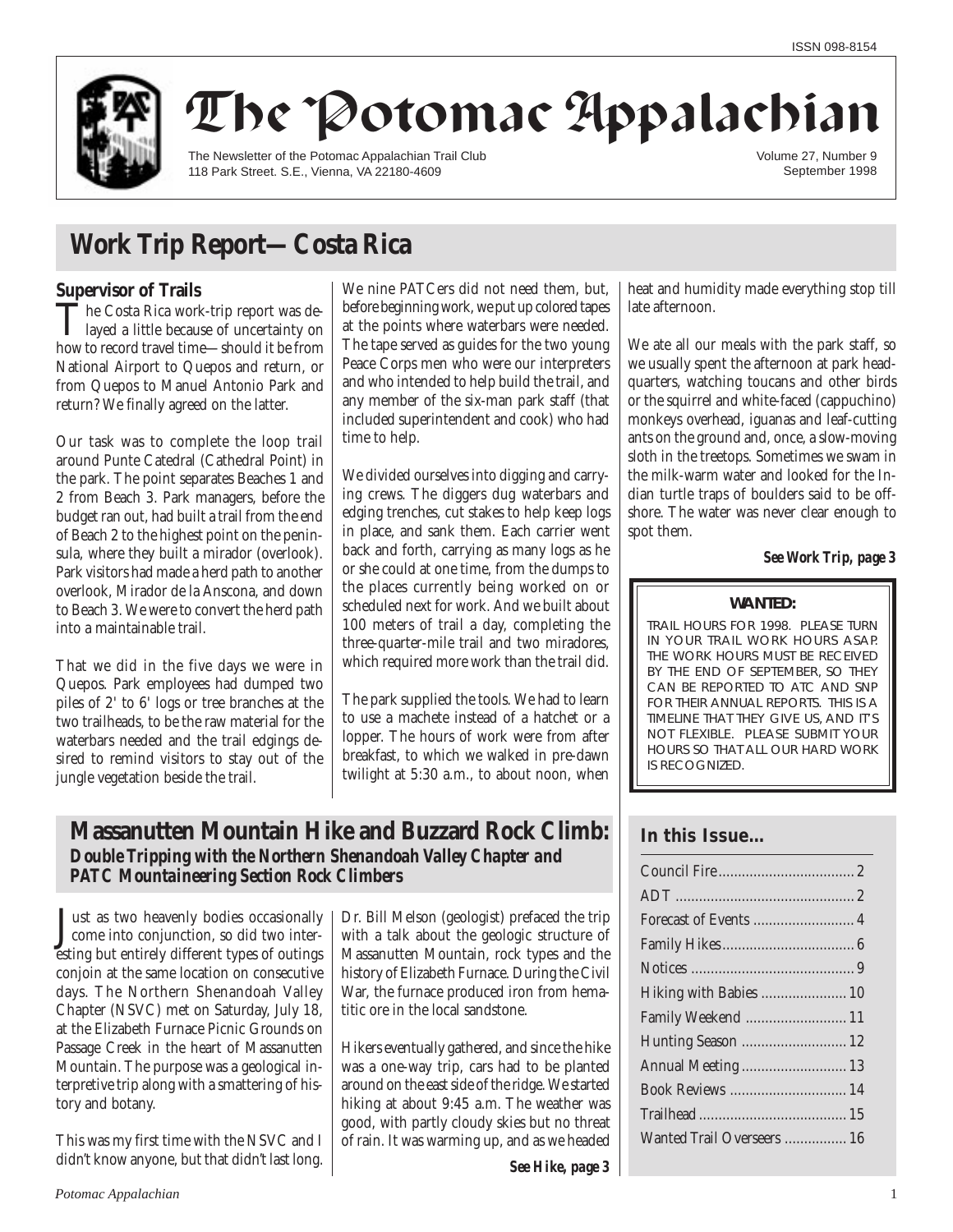

# The Potomac Appalachian

The Newsletter of the Potomac Appalachian Trail Club 118 Park Street. S.E., Vienna, VA 22180-4609

Volume 27, Number 9 September 1998

## **Work Trip Report—Costa Rica**

### **Supervisor of Trails**

The Costa Rica work-trip report was de-<br>layed a little because of uncertainty on how to record travel time—should it be from National Airport to Quepos and return, or from Quepos to Manuel Antonio Park and return? We finally agreed on the latter.

Our task was to complete the loop trail around Punte Catedral (Cathedral Point) in the park. The point separates Beaches 1 and 2 from Beach 3. Park managers, before the budget ran out, had built a trail from the end of Beach 2 to the highest point on the peninsula, where they built a mirador (overlook). Park visitors had made a herd path to another overlook, Mirador de la Anscona, and down to Beach 3. We were to convert the herd path into a maintainable trail.

That we did in the five days we were in Quepos. Park employees had dumped two piles of 2' to 6' logs or tree branches at the two trailheads, to be the raw material for the waterbars needed and the trail edgings desired to remind visitors to stay out of the jungle vegetation beside the trail.

We nine PATCers did not need them, but, before beginning work, we put up colored tapes at the points where waterbars were needed. The tape served as guides for the two young Peace Corps men who were our interpreters and who intended to help build the trail, and any member of the six-man park staff (that included superintendent and cook) who had time to help.

We divided ourselves into digging and carrying crews. The diggers dug waterbars and edging trenches, cut stakes to help keep logs in place, and sank them. Each carrier went back and forth, carrying as many logs as he or she could at one time, from the dumps to the places currently being worked on or scheduled next for work. And we built about 100 meters of trail a day, completing the three-quarter-mile trail and two miradores, which required more work than the trail did.

The park supplied the tools. We had to learn to use a machete instead of a hatchet or a lopper. The hours of work were from after breakfast, to which we walked in pre-dawn twilight at 5:30 a.m., to about noon, when

## **Massanutten Mountain Hike and Buzzard Rock Climb:** *Double Tripping with the Northern Shenandoah Valley Chapter and PATC Mountaineering Section Rock Climbers*

Just as two heavenly bodies occasionally<br>come into conjunction, so did two inter-<br>seting but entirely different types of outlings ust as two heavenly bodies occasionally esting but entirely different types of outings conjoin at the same location on consecutive days. The Northern Shenandoah Valley Chapter (NSVC) met on Saturday, July 18, at the Elizabeth Furnace Picnic Grounds on Passage Creek in the heart of Massanutten Mountain. The purpose was a geological interpretive trip along with a smattering of history and botany.

This was my first time with the NSVC and I didn't know anyone, but that didn't last long. Dr. Bill Melson (geologist) prefaced the trip with a talk about the geologic structure of Massanutten Mountain, rock types and the history of Elizabeth Furnace. During the Civil War, the furnace produced iron from hematitic ore in the local sandstone.

Hikers eventually gathered, and since the hike was a one-way trip, cars had to be planted around on the east side of the ridge. We started hiking at about 9:45 a.m. The weather was good, with partly cloudy skies but no threat of rain. It was warming up, and as we headed heat and humidity made everything stop till late afternoon.

We ate all our meals with the park staff, so we usually spent the afternoon at park headquarters, watching toucans and other birds or the squirrel and white-faced (cappuchino) monkeys overhead, iguanas and leaf-cutting ants on the ground and, once, a slow-moving sloth in the treetops. Sometimes we swam in the milk-warm water and looked for the Indian turtle traps of boulders said to be offshore. The water was never clear enough to spot them.

#### *See Work Trip, page 3*

#### **WANTED:**

TRAIL HOURS FOR 1998. PLEASE TURN IN YOUR TRAIL WORK HOURS ASAP. THE WORK HOURS MUST BE RECEIVED BY THE END OF SEPTEMBER, SO THEY CAN BE REPORTED TO ATC AND SNP FOR THEIR ANNUAL REPORTS. THIS IS A TIMELINE THAT THEY GIVE US, AND IT'S NOT FLEXIBLE. PLEASE SUBMIT YOUR HOURS SO THAT ALL OUR HARD WORK IS RECOGNIZED.

### **In this Issue…**

| Family Weekend  11         |
|----------------------------|
| Hunting Season  12         |
| Annual Meeting 13          |
| Book Reviews  14           |
|                            |
| Wanted Trail Overseers  16 |
|                            |

*See Hike, page 3*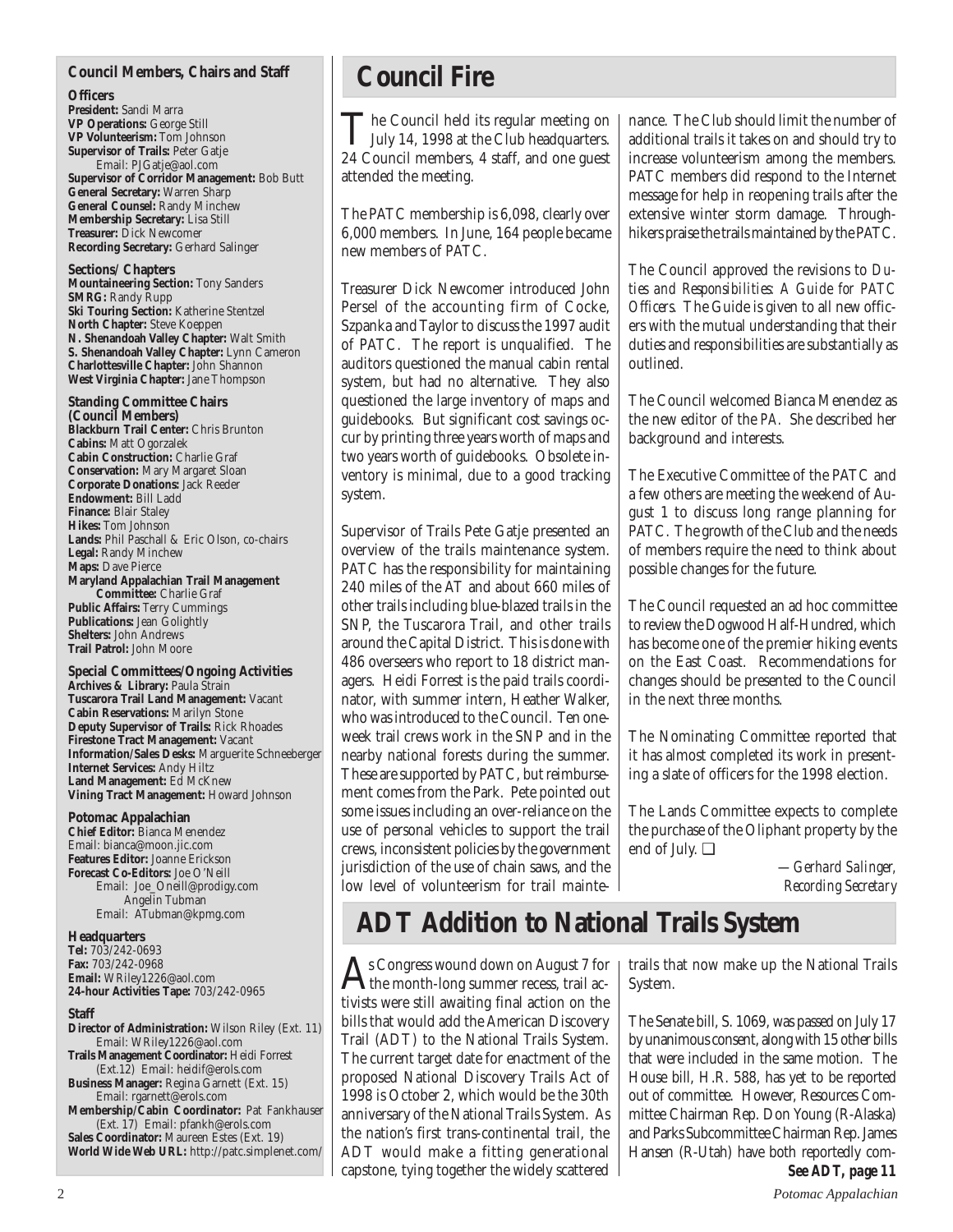### **Council Members, Chairs and Staff**

#### **Officers**

**President:** Sandi Marra **VP Operations:** George Still **VP Volunteerism:** Tom Johnson **Supervisor of Trails:** Peter Gatje Email: PJGatje@aol.com **Supervisor of Corridor Management:** Bob Butt **General Secretary:** Warren Sharp **General Counsel:** Randy Minchew **Membership Secretary:** Lisa Still **Treasurer:** Dick Newcomer **Recording Secretary:** Gerhard Salinger

**Sections/ Chapters Mountaineering Section:** Tony Sanders **SMRG:** Randy Rupp

**Ski Touring Section:** Katherine Stentzel **North Chapter:** Steve Koeppen **N. Shenandoah Valley Chapter:** Walt Smith **S. Shenandoah Valley Chapter:** Lynn Cameron **Charlottesville Chapter:** John Shannon **West Virginia Chapter:** Jane Thompson

**Standing Committee Chairs (Council Members) Blackburn Trail Center:** Chris Brunton **Cabins:** Matt Ogorzalek **Cabin Construction:** Charlie Graf **Conservation:** Mary Margaret Sloan **Corporate Donations:** Jack Reeder **Endowment:** Bill Ladd **Finance:** Blair Staley **Hikes:** Tom Johnson **Lands:** Phil Paschall & Eric Olson, co-chairs **Legal:** Randy Minchew **Maps:** Dave Pierce **Maryland Appalachian Trail Management Committee:** Charlie Graf **Public Affairs:** Terry Cummings **Publications:** Jean Golightly **Shelters:** John Andrews **Trail Patrol:** John Moore

**Special Committees/Ongoing Activities Archives & Library:** Paula Strain **Tuscarora Trail Land Management:** Vacant **Cabin Reservations:** Marilyn Stone **Deputy Supervisor of Trails:** Rick Rhoades **Firestone Tract Management:** Vacant **Information/Sales Desks:** Marguerite Schneeberger **Internet Services:** Andy Hiltz **Land Management:** Ed McKnew **Vining Tract Management:** Howard Johnson

#### **Potomac Appalachian**

**Chief Editor:** Bianca Menendez Email: bianca@moon.jic.com **Features Editor:** Joanne Erickson **Forecast Co-Editors:** Joe O'Neill Email: Joe\_Oneill@prodigy.com Angelin Tubman Email: ATubman@kpmg.com

#### **Headquarters**

**Tel:** 703/242-0693 **Fax:** 703/242-0968 **Email:** WRiley1226@aol.com **24-hour Activities Tape:** 703/242-0965

#### **Staff**

- **Director of Administration:** Wilson Riley (Ext. 11) Email: WRiley1226@aol.com
- **Trails Management Coordinator:** Heidi Forrest (Ext.12) Email: heidif@erols.com **Business Manager:** Regina Garnett (Ext. 15)
- Email: rgarnett@erols.com

**Membership/Cabin Coordinator:** Pat Fankhauser (Ext. 17) Email: pfankh@erols.com **Sales Coordinator:** Maureen Estes (Ext. 19) **World Wide Web URL:** http://patc.simplenet.com/

## **Council Fire**

The Council held its regular meeting on<br>July 14, 1998 at the Club headquarters. 24 Council members, 4 staff, and one guest attended the meeting.

The PATC membership is 6,098, clearly over 6,000 members. In June, 164 people became new members of PATC.

Treasurer Dick Newcomer introduced John Persel of the accounting firm of Cocke, Szpanka and Taylor to discuss the 1997 audit of PATC. The report is unqualified. The auditors questioned the manual cabin rental system, but had no alternative. They also questioned the large inventory of maps and guidebooks. But significant cost savings occur by printing three years worth of maps and two years worth of guidebooks. Obsolete inventory is minimal, due to a good tracking system.

Supervisor of Trails Pete Gatje presented an overview of the trails maintenance system. PATC has the responsibility for maintaining 240 miles of the AT and about 660 miles of other trails including blue-blazed trails in the SNP, the Tuscarora Trail, and other trails around the Capital District. This is done with 486 overseers who report to 18 district managers. Heidi Forrest is the paid trails coordinator, with summer intern, Heather Walker, who was introduced to the Council. Ten oneweek trail crews work in the SNP and in the nearby national forests during the summer. These are supported by PATC, but reimbursement comes from the Park. Pete pointed out some issues including an over-reliance on the use of personal vehicles to support the trail crews, inconsistent policies by the government jurisdiction of the use of chain saws, and the low level of volunteerism for trail maintenance. The Club should limit the number of additional trails it takes on and should try to increase volunteerism among the members. PATC members did respond to the Internet message for help in reopening trails after the extensive winter storm damage. Throughhikers praise the trails maintained by the PATC.

The Council approved the revisions to *Duties and Responsibilities: A Guide for PATC Officers.* The Guide is given to all new officers with the mutual understanding that their duties and responsibilities are substantially as outlined.

The Council welcomed Bianca Menendez as the new editor of the *PA.* She described her background and interests.

The Executive Committee of the PATC and a few others are meeting the weekend of August 1 to discuss long range planning for PATC. The growth of the Club and the needs of members require the need to think about possible changes for the future.

The Council requested an ad hoc committee to review the Dogwood Half-Hundred, which has become one of the premier hiking events on the East Coast. Recommendations for changes should be presented to the Council in the next three months.

The Nominating Committee reported that it has almost completed its work in presenting a slate of officers for the 1998 election.

The Lands Committee expects to complete the purchase of the Oliphant property by the end of July. ❑

> *—Gerhard Salinger, Recording Secretary*

## **ADT Addition to National Trails System**

 $A$ s Congress wound down on August 7 for<br>the month-long summer recess, trail activists were still awaiting final action on the bills that would add the American Discovery Trail (ADT) to the National Trails System. The current target date for enactment of the proposed National Discovery Trails Act of 1998 is October 2, which would be the 30th anniversary of the National Trails System. As the nation's first trans-continental trail, the ADT would make a fitting generational capstone, tying together the widely scattered

trails that now make up the National Trails System.

The Senate bill, S. 1069, was passed on July 17 by unanimous consent, along with 15 other bills that were included in the same motion. The House bill, H.R. 588, has yet to be reported out of committee. However, Resources Committee Chairman Rep. Don Young (R-Alaska) and Parks Subcommittee Chairman Rep. James Hansen (R-Utah) have both reportedly com-*See ADT, page 11*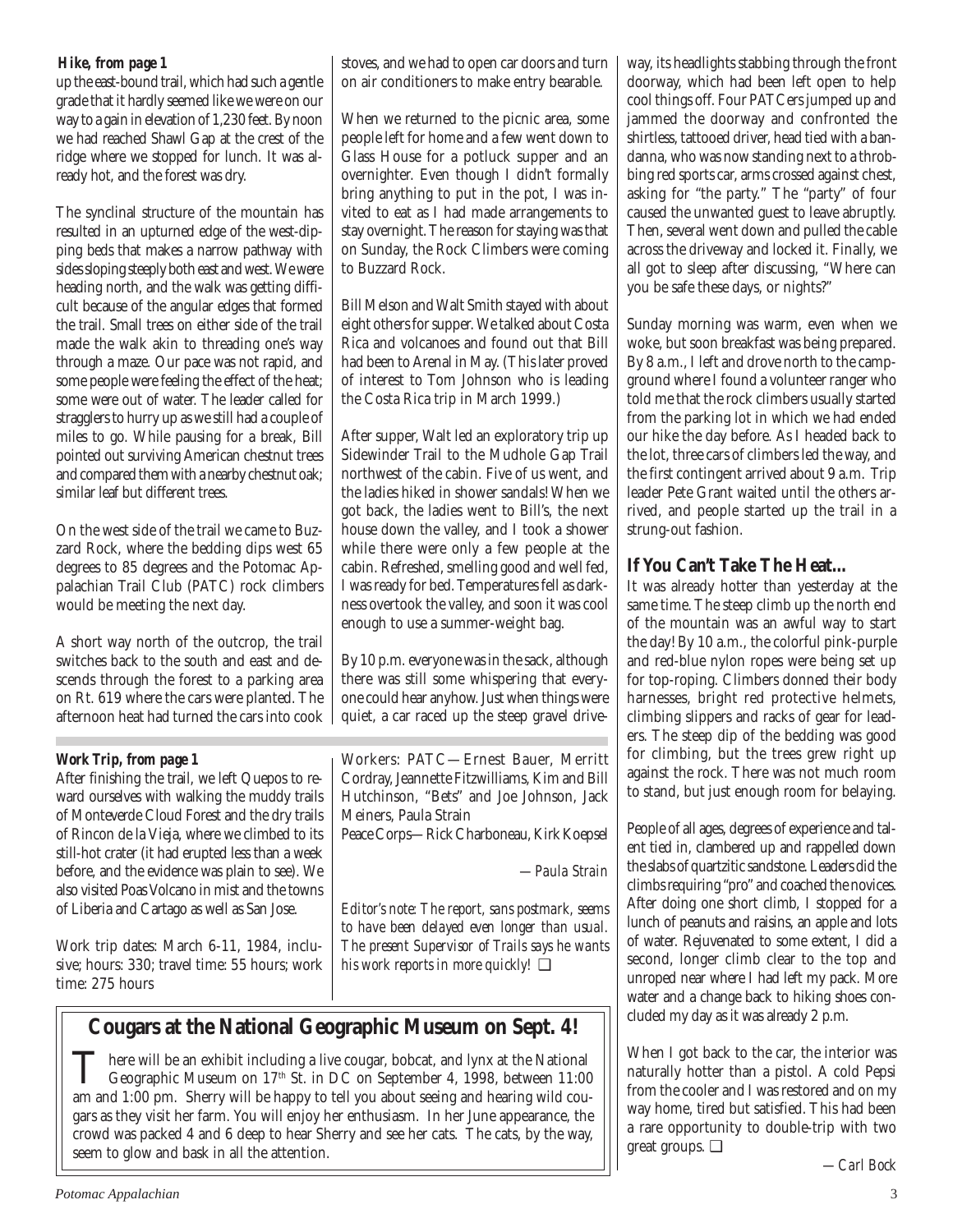### *Hike, from page 1*

up the east-bound trail, which had such a gentle grade that it hardly seemed like we were on our way to a gain in elevation of 1,230 feet. By noon we had reached Shawl Gap at the crest of the ridge where we stopped for lunch. It was already hot, and the forest was dry.

The synclinal structure of the mountain has resulted in an upturned edge of the west-dipping beds that makes a narrow pathway with sides sloping steeply both east and west. We were heading north, and the walk was getting difficult because of the angular edges that formed the trail. Small trees on either side of the trail made the walk akin to threading one's way through a maze. Our pace was not rapid, and some people were feeling the effect of the heat; some were out of water. The leader called for stragglers to hurry up as we still had a couple of miles to go. While pausing for a break, Bill pointed out surviving American chestnut trees and compared them with a nearby chestnut oak; similar leaf but different trees.

On the west side of the trail we came to Buzzard Rock, where the bedding dips west 65 degrees to 85 degrees and the Potomac Appalachian Trail Club (PATC) rock climbers would be meeting the next day.

A short way north of the outcrop, the trail switches back to the south and east and descends through the forest to a parking area on Rt. 619 where the cars were planted. The afternoon heat had turned the cars into cook

### *Work Trip, from page 1*

After finishing the trail, we left Quepos to reward ourselves with walking the muddy trails of Monteverde Cloud Forest and the dry trails of Rincon de la Vieja, where we climbed to its still-hot crater (it had erupted less than a week before, and the evidence was plain to see). We also visited Poas Volcano in mist and the towns of Liberia and Cartago as well as San Jose.

Work trip dates: March 6-11, 1984, inclusive; hours: 330; travel time: 55 hours; work time: 275 hours

stoves, and we had to open car doors and turn on air conditioners to make entry bearable.

When we returned to the picnic area, some people left for home and a few went down to Glass House for a potluck supper and an overnighter. Even though I didn't formally bring anything to put in the pot, I was invited to eat as I had made arrangements to stay overnight. The reason for staying was that on Sunday, the Rock Climbers were coming to Buzzard Rock.

Bill Melson and Walt Smith stayed with about eight others for supper. We talked about Costa Rica and volcanoes and found out that Bill had been to Arenal in May. (This later proved of interest to Tom Johnson who is leading the Costa Rica trip in March 1999.)

After supper, Walt led an exploratory trip up Sidewinder Trail to the Mudhole Gap Trail northwest of the cabin. Five of us went, and the ladies hiked in shower sandals! When we got back, the ladies went to Bill's, the next house down the valley, and I took a shower while there were only a few people at the cabin. Refreshed, smelling good and well fed, I was ready for bed. Temperatures fell as darkness overtook the valley, and soon it was cool enough to use a summer-weight bag.

By 10 p.m. everyone was in the sack, although there was still some whispering that everyone could hear anyhow. Just when things were quiet, a car raced up the steep gravel drive-

Workers: PATC—Ernest Bauer, Merritt Cordray, Jeannette Fitzwilliams, Kim and Bill Hutchinson, "Bets" and Joe Johnson, Jack Meiners, Paula Strain

Peace Corps—Rick Charboneau, Kirk Koepsel

*—Paula Strain*

*Editor's note: The report, sans postmark, seems to have been delayed even longer than usual. The present Supervisor of Trails says he wants his work reports in more quickly!* ❑

## **Cougars at the National Geographic Museum on Sept. 4!**

There will be an exhibit including a live cougar, bobcat, and lynx at the National<br>Geographic Museum on 17<sup>th</sup> St, in DC on Santamber 4, 1998, between 11:00 Geographic Museum on 17th St. in DC on September 4, 1998, between 11:00 am and 1:00 pm. Sherry will be happy to tell you about seeing and hearing wild cougars as they visit her farm. You will enjoy her enthusiasm. In her June appearance, the crowd was packed 4 and 6 deep to hear Sherry and see her cats. The cats, by the way, seem to glow and bask in all the attention.

way, its headlights stabbing through the front doorway, which had been left open to help cool things off. Four PATCers jumped up and jammed the doorway and confronted the shirtless, tattooed driver, head tied with a bandanna, who was now standing next to a throbbing red sports car, arms crossed against chest, asking for "the party." The "party" of four caused the unwanted guest to leave abruptly. Then, several went down and pulled the cable across the driveway and locked it. Finally, we all got to sleep after discussing, "Where can you be safe these days, or nights?"

Sunday morning was warm, even when we woke, but soon breakfast was being prepared. By 8 a.m., I left and drove north to the campground where I found a volunteer ranger who told me that the rock climbers usually started from the parking lot in which we had ended our hike the day before. As I headed back to the lot, three cars of climbers led the way, and the first contingent arrived about 9 a.m. Trip leader Pete Grant waited until the others arrived, and people started up the trail in a strung-out fashion.

## **If You Can't Take The Heat...**

It was already hotter than yesterday at the same time. The steep climb up the north end of the mountain was an awful way to start the day! By 10 a.m., the colorful pink-purple and red-blue nylon ropes were being set up for top-roping. Climbers donned their body harnesses, bright red protective helmets, climbing slippers and racks of gear for leaders. The steep dip of the bedding was good for climbing, but the trees grew right up against the rock. There was not much room to stand, but just enough room for belaying.

People of all ages, degrees of experience and talent tied in, clambered up and rappelled down the slabs of quartzitic sandstone. Leaders did the climbs requiring "pro" and coached the novices. After doing one short climb, I stopped for a lunch of peanuts and raisins, an apple and lots of water. Rejuvenated to some extent, I did a second, longer climb clear to the top and unroped near where I had left my pack. More water and a change back to hiking shoes concluded my day as it was already 2 p.m.

When I got back to the car, the interior was naturally hotter than a pistol. A cold Pepsi from the cooler and I was restored and on my way home, tired but satisfied. This had been a rare opportunity to double-trip with two great groups. ❑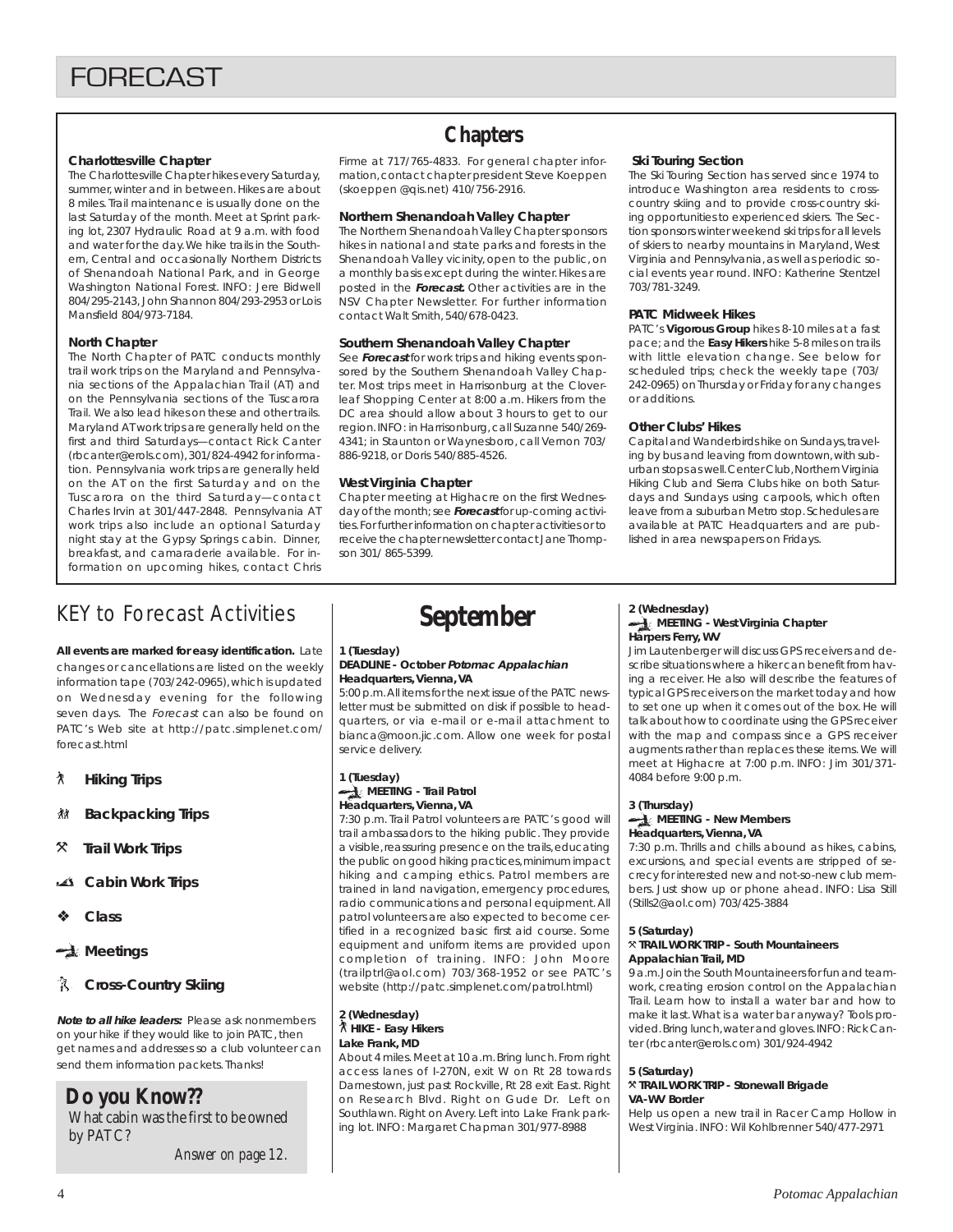#### **Charlottesville Chapter**

The Charlottesville Chapter hikes every Saturday, summer, winter and in between. Hikes are about 8 miles. Trail maintenance is usually done on the last Saturday of the month. Meet at Sprint parking lot, 2307 Hydraulic Road at 9 a.m. with food and water for the day. We hike trails in the Southern, Central and occasionally Northern Districts of Shenandoah National Park, and in George Washington National Forest. INFO: Jere Bidwell 804/295-2143, John Shannon 804/293-2953 or Lois Mansfield 804/973-7184.

#### **North Chapter**

The North Chapter of PATC conducts monthly trail work trips on the Maryland and Pennsylvania sections of the Appalachian Trail (AT) and on the Pennsylvania sections of the Tuscarora Trail. We also lead hikes on these and other trails. Maryland AT work trips are generally held on the first and third Saturdays—contact Rick Canter (rbcanter@erols.com), 301/824-4942 for information. Pennsylvania work trips are generally held on the AT on the first Saturday and on the Tuscarora on the third Saturday—contact Charles Irvin at 301/447-2848. Pennsylvania AT work trips also include an optional Saturday night stay at the Gypsy Springs cabin. Dinner, breakfast, and camaraderie available. For information on upcoming hikes, contact Chris

## KEY to Forecast Activities

**All events are marked for easy identification.** Late changes or cancellations are listed on the weekly information tape (703/242-0965), which is updated on Wednesday evening for the following seven days. The Forecast can also be found on PATC's Web site at http://patc.simplenet.com/ forecast.html

- ` **Hiking Trips**
- **M Backpacking Trips**
- } **Trail Work Trips**
- **Cabin Work Trips**
- ❖ **Class**
- **Meetings**

#### K. **Cross-Country Skiing**

**Note to all hike leaders:** Please ask nonmembers on your hike if they would like to join PATC, then get names and addresses so a club volunteer can send them information packets. Thanks!

**Do you Know??** What cabin was the first to be owned by PATC?

*Answer on page 12.*

## **Chapters**

Firme at 717/765-4833. For general chapter information, contact chapter president Steve Koeppen (skoeppen @qis.net) 410/756-2916.

#### **Northern Shenandoah Valley Chapter**

The Northern Shenandoah Valley Chapter sponsors hikes in national and state parks and forests in the Shenandoah Valley vicinity, open to the public, on a monthly basis except during the winter. Hikes are posted in the **Forecast.** Other activities are in the NSV Chapter Newsletter. For further information contact Walt Smith, 540/678-0423.

#### **Southern Shenandoah Valley Chapter**

See **Forecast** for work trips and hiking events sponsored by the Southern Shenandoah Valley Chapter. Most trips meet in Harrisonburg at the Cloverleaf Shopping Center at 8:00 a.m. Hikers from the DC area should allow about 3 hours to get to our region. INFO: in Harrisonburg, call Suzanne 540/269- 4341; in Staunton or Waynesboro, call Vernon 703/ 886-9218, or Doris 540/885-4526.

#### **West Virginia Chapter**

Chapter meeting at Highacre on the first Wednesday of the month; see **Forecast** for up-coming activities. For further information on chapter activities or to receive the chapter newsletter contact Jane Thompson 301/ 865-5399.

#### **Ski Touring Section**

The Ski Touring Section has served since 1974 to introduce Washington area residents to crosscountry skiing and to provide cross-country skiing opportunities to experienced skiers. The Section sponsors winter weekend ski trips for all levels of skiers to nearby mountains in Maryland, West Virginia and Pennsylvania, as well as periodic social events year round. INFO: Katherine Stentzel 703/781-3249.

#### **PATC Midweek Hikes**

PATC's **Vigorous Group** hikes 8-10 miles at a fast pace; and the **Easy Hikers** hike 5-8 miles on trails with little elevation change. See below for scheduled trips; check the weekly tape (703/ 242-0965) on Thursday or Friday for any changes or additions.

#### **Other Clubs' Hikes**

Capital and Wanderbirds hike on Sundays, traveling by bus and leaving from downtown, with suburban stops as well. Center Club, Northern Virginia Hiking Club and Sierra Clubs hike on both Saturdays and Sundays using carpools, which often leave from a suburban Metro stop. Schedules are available at PATC Headquarters and are published in area newspapers on Fridays.

## **September**

#### **1 (Tuesday)**

#### **DEADLINE - October Potomac Appalachian Headquarters, Vienna, VA**

5:00 p.m. All items for the next issue of the PATC newsletter must be submitted on disk if possible to headquarters, or via e-mail or e-mail attachment to bianca@moon.jic.com. Allow one week for postal service delivery.

#### **1 (Tuesday) MEETING - Trail Patrol Headquarters, Vienna, VA**

7:30 p.m. Trail Patrol volunteers are PATC's good will trail ambassadors to the hiking public. They provide a visible, reassuring presence on the trails, educating the public on good hiking practices, minimum impact hiking and camping ethics. Patrol members are trained in land navigation, emergency procedures, radio communications and personal equipment. All patrol volunteers are also expected to become certified in a recognized basic first aid course. Some equipment and uniform items are provided upon completion of training. INFO: John Moore (trailptrl@aol.com) 703/368-1952 or see PATC's website (http://patc.simplenet.com/patrol.html)

#### **2 (Wednesday)** ` **HIKE - Easy Hikers Lake Frank, MD**

About 4 miles. Meet at 10 a.m. Bring lunch. From right access lanes of I-270N, exit W on Rt 28 towards Darnestown, just past Rockville, Rt 28 exit East. Right on Research Blvd. Right on Gude Dr. Left on Southlawn. Right on Avery. Left into Lake Frank parking lot. INFO: Margaret Chapman 301/977-8988

#### **2 (Wednesday) MEETING - West Virginia Chapter**

## **Harpers Ferry, WV**

Jim Lautenberger will discuss GPS receivers and describe situations where a hiker can benefit from having a receiver. He also will describe the features of typical GPS receivers on the market today and how to set one up when it comes out of the box. He will talk about how to coordinate using the GPS receiver with the map and compass since a GPS receiver augments rather than replaces these items. We will meet at Highacre at 7:00 p.m. INFO: Jim 301/371- 4084 before 9:00 p.m.

#### **3 (Thursday) MEETING - New Members Headquarters, Vienna, VA**

7:30 p.m. Thrills and chills abound as hikes, cabins, excursions, and special events are stripped of secrecy for interested new and not-so-new club members. Just show up or phone ahead. INFO: Lisa Still (Stills2@aol.com) 703/425-3884

#### **5 (Saturday)**

#### } **TRAIL WORK TRIP - South Mountaineers Appalachian Trail, MD**

9 a.m. Join the South Mountaineers for fun and teamwork, creating erosion control on the Appalachian Trail. Learn how to install a water bar and how to make it last. What is a water bar anyway? Tools provided. Bring lunch, water and gloves. INFO: Rick Canter (rbcanter@erols.com) 301/924-4942

#### **5 (Saturday)** } **TRAIL WORK TRIP - Stonewall Brigade VA-WV Border**

Help us open a new trail in Racer Camp Hollow in West Virginia. INFO: Wil Kohlbrenner 540/477-2971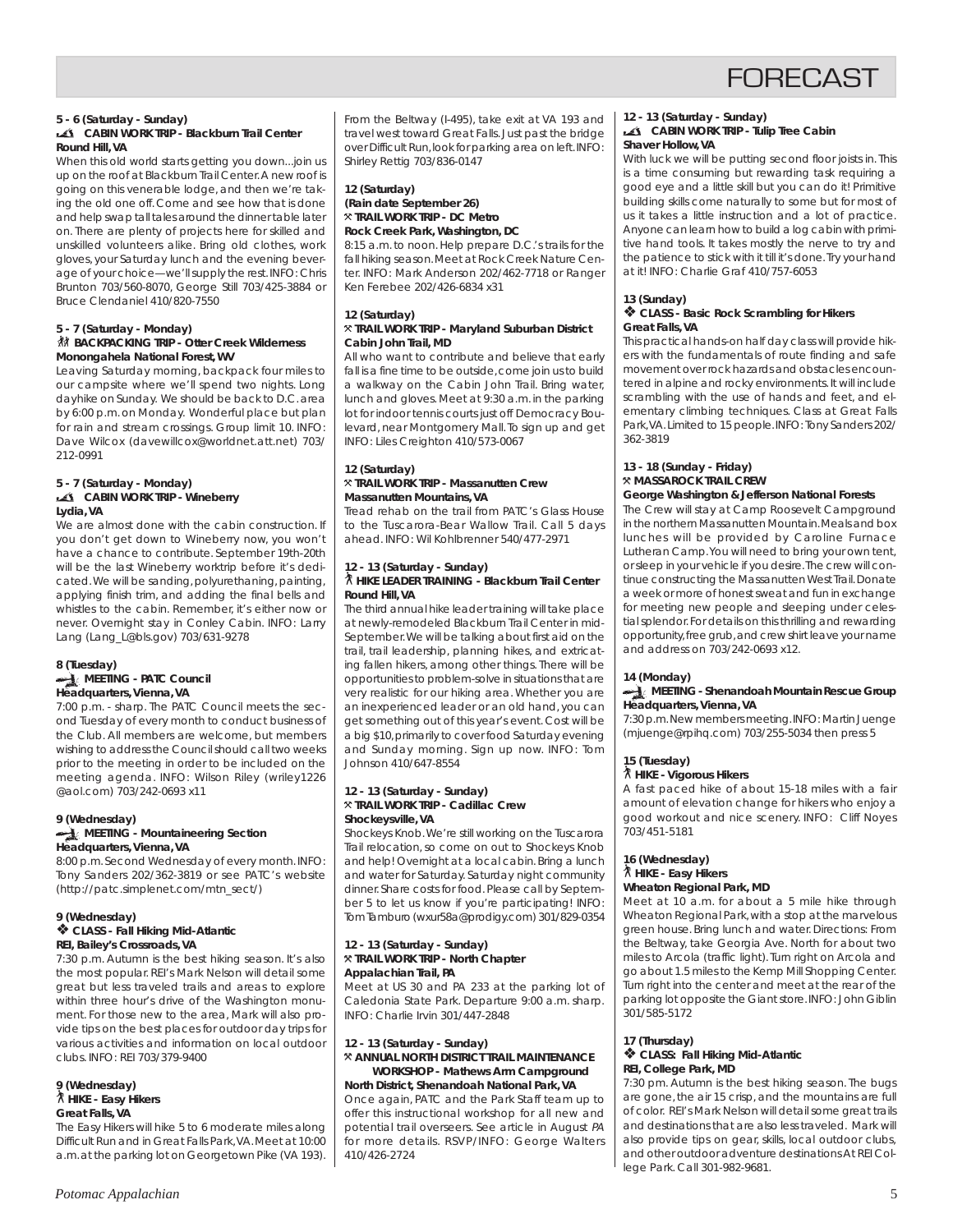## **FORFCAST**

#### **5 - 6 (Saturday - Sunday) CABIN WORK TRIP - Blackburn Trail Center Round Hill, VA**

When this old world starts getting you down...join us up on the roof at Blackburn Trail Center. A new roof is going on this venerable lodge, and then we're taking the old one off. Come and see how that is done and help swap tall tales around the dinner table later on. There are plenty of projects here for skilled and unskilled volunteers alike. Bring old clothes, work gloves, your Saturday lunch and the evening beverage of your choice—we'll supply the rest. INFO: Chris Brunton 703/560-8070, George Still 703/425-3884 or Bruce Clendaniel 410/820-7550

#### **5 - 7 (Saturday - Monday) 然 BACKPACKING TRIP - Otter Creek Wilderness Monongahela National Forest, WV**

Leaving Saturday morning, backpack four miles to our campsite where we'll spend two nights. Long dayhike on Sunday. We should be back to D.C. area by 6:00 p.m. on Monday. Wonderful place but plan for rain and stream crossings. Group limit 10. INFO: Dave Wilcox (davewillcox@worldnet.att.net) 703/ 212-0991

#### **5 - 7 (Saturday - Monday) CABIN WORK TRIP - Wineberry Lydia, VA**

We are almost done with the cabin construction. If you don't get down to Wineberry now, you won't have a chance to contribute. September 19th-20th will be the last Wineberry worktrip before it's dedicated. We will be sanding, polyurethaning, painting, applying finish trim, and adding the final bells and whistles to the cabin. Remember, it's either now or never. Overnight stay in Conley Cabin. INFO: Larry Lang (Lang\_L@bls.gov) 703/631-9278

#### **8 (Tuesday) MEETING - PATC Council**

### **Headquarters, Vienna, VA**

7:00 p.m. - sharp. The PATC Council meets the second Tuesday of every month to conduct business of the Club. All members are welcome, but members wishing to address the Council should call two weeks prior to the meeting in order to be included on the meeting agenda. INFO: Wilson Riley (wriley1226 @aol.com) 703/242-0693 x11

#### **9 (Wednesday) MEETING - Mountaineering Section Headquarters, Vienna, VA**

8:00 p.m. Second Wednesday of every month. INFO: Tony Sanders 202/362-3819 or see PATC's website (http://patc.simplenet.com/mtn\_sect/)

#### **9 (Wednesday)**

#### ❖ **CLASS - Fall Hiking Mid-Atlantic REI, Bailey's Crossroads, VA**

7:30 p.m. Autumn is the best hiking season. It's also the most popular. REI's Mark Nelson will detail some great but less traveled trails and areas to explore within three hour's drive of the Washington monument. For those new to the area, Mark will also provide tips on the best places for outdoor day trips for various activities and information on local outdoor clubs. INFO: REI 703/379-9400

## **9 (Wednesday)** ` **HIKE - Easy Hikers**

**Great Falls, VA**

The Easy Hikers will hike 5 to 6 moderate miles along Difficult Run and in Great Falls Park, VA. Meet at 10:00 a.m. at the parking lot on Georgetown Pike (VA 193). From the Beltway (I-495), take exit at VA 193 and travel west toward Great Falls. Just past the bridge over Difficult Run, look for parking area on left. INFO: Shirley Rettig 703/836-0147

#### **12 (Saturday) (Rain date September 26)** } **TRAIL WORK TRIP - DC Metro Rock Creek Park, Washington, DC**

8:15 a.m. to noon. Help prepare D.C.'s trails for the fall hiking season. Meet at Rock Creek Nature Center. INFO: Mark Anderson 202/462-7718 or Ranger Ken Ferebee 202/426-6834 x31

#### **12 (Saturday)** } **TRAIL WORK TRIP - Maryland Suburban District Cabin John Trail, MD**

All who want to contribute and believe that early fall is a fine time to be outside, come join us to build a walkway on the Cabin John Trail. Bring water, lunch and gloves. Meet at 9:30 a.m. in the parking lot for indoor tennis courts just off Democracy Boulevard, near Montgomery Mall. To sign up and get INFO: Liles Creighton 410/573-0067

#### **12 (Saturday)** } **TRAIL WORK TRIP - Massanutten Crew Massanutten Mountains, VA**

Tread rehab on the trail from PATC's Glass House to the Tuscarora-Bear Wallow Trail. Call 5 days ahead. INFO: Wil Kohlbrenner 540/477-2971

#### **12 - 13 (Saturday - Sunday)** ` **HIKE LEADER TRAINING - Blackburn Trail Center Round Hill, VA**

The third annual hike leader training will take place at newly-remodeled Blackburn Trail Center in mid-September. We will be talking about first aid on the trail, trail leadership, planning hikes, and extricating fallen hikers, among other things. There will be opportunities to problem-solve in situations that are very realistic for our hiking area. Whether you are an inexperienced leader or an old hand, you can get something out of this year's event. Cost will be a big \$10, primarily to cover food Saturday evening and Sunday morning. Sign up now. INFO: Tom Johnson 410/647-8554

#### **12 - 13 (Saturday - Sunday)** } **TRAIL WORK TRIP - Cadillac Crew Shockeysville, VA**

Shockeys Knob. We're still working on the Tuscarora Trail relocation, so come on out to Shockeys Knob and help! Overnight at a local cabin. Bring a lunch and water for Saturday. Saturday night community dinner. Share costs for food. Please call by September 5 to let us know if you're participating! INFO: Tom Tamburo (wxur58a@prodigy.com) 301/829-0354

#### **12 - 13 (Saturday - Sunday)** } **TRAIL WORK TRIP - North Chapter Appalachian Trail, PA**

Meet at US 30 and PA 233 at the parking lot of Caledonia State Park. Departure 9:00 a.m. sharp. INFO: Charlie Irvin 301/447-2848

#### **12 - 13 (Saturday - Sunday)** } **ANNUAL NORTH DISTRICT TRAIL MAINTENANCE WORKSHOP - Mathews Arm Campground**

**North District, Shenandoah National Park, VA** Once again, PATC and the Park Staff team up to offer this instructional workshop for all new and potential trail overseers. See article in August PA for more details. RSVP/INFO: George Walters 410/426-2724

**12 - 13 (Saturday - Sunday)**

#### **CABIN WORK TRIP - Tulip Tree Cabin Shaver Hollow, VA**

With luck we will be putting second floor joists in. This is a time consuming but rewarding task requiring a good eye and a little skill but you can do it! Primitive building skills come naturally to some but for most of us it takes a little instruction and a lot of practice. Anyone can learn how to build a log cabin with primitive hand tools. It takes mostly the nerve to try and the patience to stick with it till it's done. Try your hand at it! INFO: Charlie Graf 410/757-6053

#### **13 (Sunday)**

#### ❖ **CLASS - Basic Rock Scrambling for Hikers Great Falls, VA**

This practical hands-on half day class will provide hikers with the fundamentals of route finding and safe movement over rock hazards and obstacles encountered in alpine and rocky environments. It will include scrambling with the use of hands and feet, and elementary climbing techniques. Class at Great Falls Park, VA. Limited to 15 people. INFO: Tony Sanders 202/ 362-3819

#### **13 - 18 (Sunday - Friday)** } **MASSAROCK TRAIL CREW George Washington & Jefferson National Forests**

The Crew will stay at Camp Roosevelt Campground in the northern Massanutten Mountain. Meals and box lunches will be provided by Caroline Furnace Lutheran Camp. You will need to bring your own tent, or sleep in your vehicle if you desire. The crew will continue constructing the Massanutten West Trail. Donate a week or more of honest sweat and fun in exchange for meeting new people and sleeping under celestial splendor. For details on this thrilling and rewarding opportunity, free grub, and crew shirt leave your name and address on 703/242-0693 x12.

#### **14 (Monday)**

#### **MEETING - Shenandoah Mountain Rescue Group Headquarters, Vienna, VA**

7:30 p.m. New members meeting. INFO: Martin Juenge (mjuenge@rpihq.com) 703/255-5034 then press 5

### **15 (Tuesday)**

#### ` **HIKE - Vigorous Hikers**

A fast paced hike of about 15-18 miles with a fair amount of elevation change for hikers who enjoy a good workout and nice scenery. INFO: Cliff Noyes 703/451-5181

#### **16 (Wednesday)** ` **HIKE - Easy Hikers Wheaton Regional Park, MD**

Meet at 10 a.m. for about a 5 mile hike through Wheaton Regional Park, with a stop at the marvelous green house. Bring lunch and water. Directions: From the Beltway, take Georgia Ave. North for about two miles to Arcola (traffic light). Turn right on Arcola and go about 1.5 miles to the Kemp Mill Shopping Center. Turn right into the center and meet at the rear of the parking lot opposite the Giant store. INFO: John Giblin 301/585-5172

#### **17 (Thursday)** ❖ **CLASS: Fall Hiking Mid-Atlantic REI, College Park, MD**

7:30 pm. Autumn is the best hiking season. The bugs are gone, the air 15 crisp, and the mountains are full of color. REI's Mark Nelson will detail some great trails and destinations that are also less traveled. Mark will also provide tips on gear, skills, local outdoor clubs, and other outdoor adventure destinations At REI College Park. Call 301-982-9681.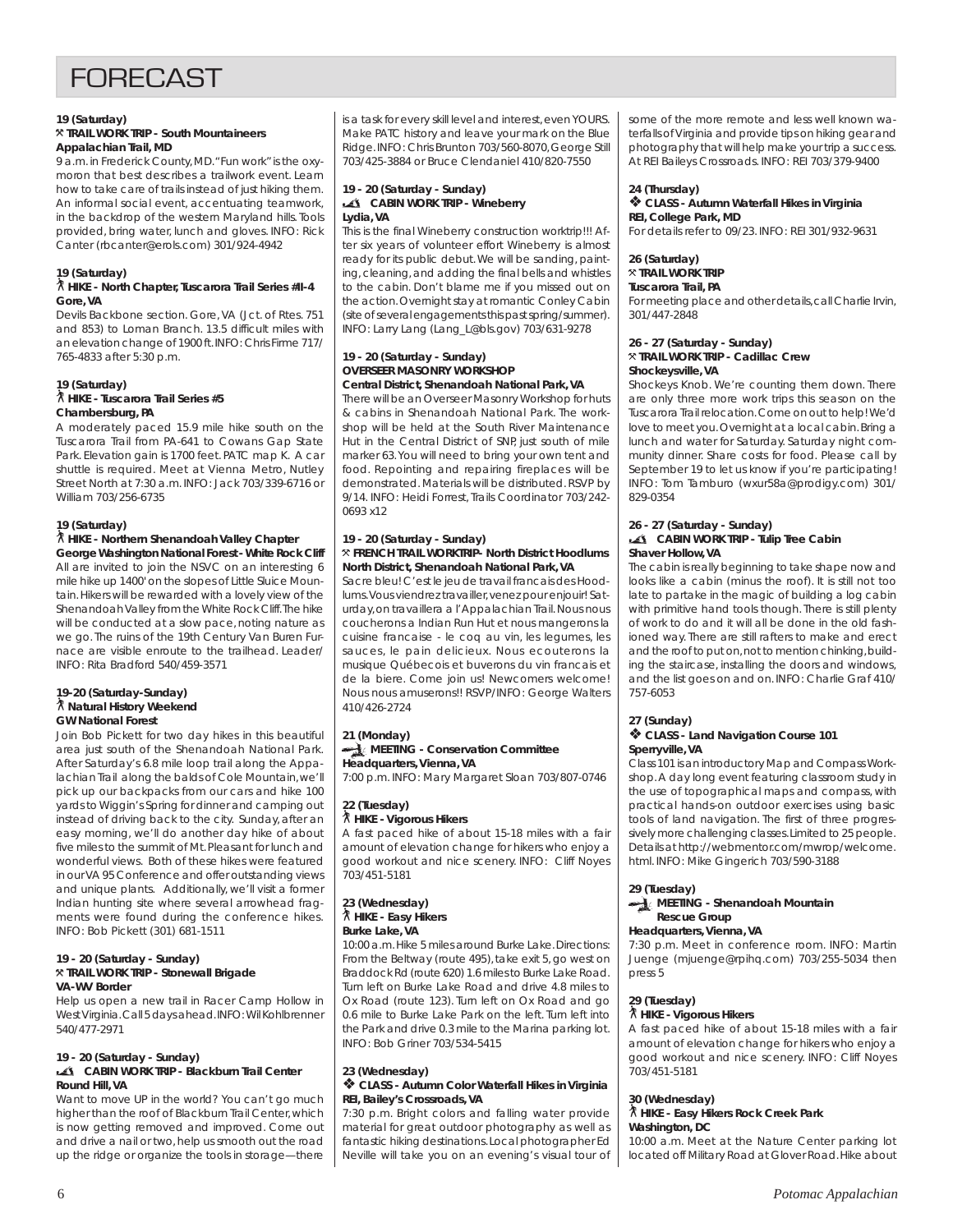## **FORFCAST**

#### **19 (Saturday)** } **TRAIL WORK TRIP - South Mountaineers Appalachian Trail, MD**

9 a.m. in Frederick County, MD. "Fun work" is the oxymoron that best describes a trailwork event. Learn how to take care of trails instead of just hiking them. An informal social event, accentuating teamwork, in the backdrop of the western Maryland hills. Tools provided, bring water, lunch and gloves. INFO: Rick Canter (rbcanter@erols.com) 301/924-4942

#### **19 (Saturday)**

#### ` **HIKE - North Chapter, Tuscarora Trail Series #II-4 Gore, VA**

Devils Backbone section. Gore, VA (Jct. of Rtes. 751 and 853) to Loman Branch. 13.5 difficult miles with an elevation change of 1900 ft. INFO: Chris Firme 717/ 765-4833 after 5:30 p.m.

#### **19 (Saturday)**

#### ` **HIKE - Tuscarora Trail Series #5 Chambersburg, PA**

A moderately paced 15.9 mile hike south on the Tuscarora Trail from PA-641 to Cowans Gap State Park. Elevation gain is 1700 feet. PATC map K. A car shuttle is required. Meet at Vienna Metro, Nutley Street North at 7:30 a.m. INFO: Jack 703/339-6716 or William 703/256-6735

#### **19 (Saturday)**

#### ` **HIKE - Northern Shenandoah Valley Chapter George Washington National Forest - White Rock Cliff**

All are invited to join the NSVC on an interesting 6 mile hike up 1400' on the slopes of Little Sluice Mountain. Hikers will be rewarded with a lovely view of the Shenandoah Valley from the White Rock Cliff. The hike will be conducted at a slow pace, noting nature as we go. The ruins of the 19th Century Van Buren Furnace are visible enroute to the trailhead. Leader/ INFO: Rita Bradford 540/459-3571

#### **19-20 (Saturday-Sunday)** ` **Natural History Weekend GW National Forest**

Join Bob Pickett for two day hikes in this beautiful area just south of the Shenandoah National Park. After Saturday's 6.8 mile loop trail along the Appalachian Trail along the balds of Cole Mountain, we'll pick up our backpacks from our cars and hike 100 yards to Wiggin's Spring for dinner and camping out instead of driving back to the city. Sunday, after an easy morning, we'll do another day hike of about five miles to the summit of Mt. Pleasant for lunch and wonderful views. Both of these hikes were featured in our VA 95 Conference and offer outstanding views and unique plants. Additionally, we'll visit a former Indian hunting site where several arrowhead fragments were found during the conference hikes. INFO: Bob Pickett (301) 681-1511

#### **19 - 20 (Saturday - Sunday)** } **TRAIL WORK TRIP - Stonewall Brigade VA-WV Border**

Help us open a new trail in Racer Camp Hollow in West Virginia. Call 5 days ahead. INFO: Wil Kohlbrenner 540/477-2971

#### **19 - 20 (Saturday - Sunday)**

#### **CABIN WORK TRIP - Blackburn Trail Center Round Hill, VA**

Want to move UP in the world? You can't go much higher than the roof of Blackburn Trail Center, which is now getting removed and improved. Come out and drive a nail or two, help us smooth out the road up the ridge or organize the tools in storage—there

is a task for every skill level and interest, even YOURS. Make PATC history and leave your mark on the Blue Ridge. INFO: Chris Brunton 703/560-8070, George Still 703/425-3884 or Bruce Clendaniel 410/820-7550

#### **19 - 20 (Saturday - Sunday) CABIN WORK TRIP - Wineberry Lydia, VA**

This is the final Wineberry construction worktrip!!! After six years of volunteer effort Wineberry is almost ready for its public debut. We will be sanding, painting, cleaning, and adding the final bells and whistles to the cabin. Don't blame me if you missed out on the action. Overnight stay at romantic Conley Cabin (site of several engagements this past spring/summer). INFO: Larry Lang (Lang\_L@bls.gov) 703/631-9278

#### **19 - 20 (Saturday - Sunday) OVERSEER MASONRY WORKSHOP Central District, Shenandoah National Park, VA**

There will be an Overseer Masonry Workshop for huts & cabins in Shenandoah National Park. The workshop will be held at the South River Maintenance Hut in the Central District of SNP, just south of mile marker 63. You will need to bring your own tent and food. Repointing and repairing fireplaces will be demonstrated. Materials will be distributed. RSVP by 9/14. INFO: Heidi Forrest, Trails Coordinator 703/242- 0693 x12

#### **19 - 20 (Saturday - Sunday)** } **FRENCH TRAIL WORKTRIP- North District Hoodlums North District, Shenandoah National Park, VA**

Sacre bleu! C'est le jeu de travail francais des Hoodlums. Vous viendrez travailler, venez pour enjouir! Saturday, on travaillera a l'Appalachian Trail. Nous nous coucherons a Indian Run Hut et nous mangerons la cuisine francaise - le coq au vin, les legumes, les sauces, le pain delicieux. Nous ecouterons la musique Québecois et buverons du vin francais et de la biere. Come join us! Newcomers welcome! Nous nous amuserons!! RSVP/INFO: George Walters 410/426-2724

#### **21 (Monday) MEETING - Conservation Committee Headquarters, Vienna, VA**

7:00 p.m. INFO: Mary Margaret Sloan 703/807-0746

#### **22 (Tuesday)**

703/451-5181

` **HIKE - Vigorous Hikers** A fast paced hike of about 15-18 miles with a fair amount of elevation change for hikers who enjoy a good workout and nice scenery. INFO: Cliff Noyes

#### **23 (Wednesday)** ` **HIKE - Easy Hikers Burke Lake, VA**

10:00 a.m. Hike 5 miles around Burke Lake. Directions: From the Beltway (route 495), take exit 5, go west on Braddock Rd (route 620) 1.6 miles to Burke Lake Road. Turn left on Burke Lake Road and drive 4.8 miles to Ox Road (route 123). Turn left on Ox Road and go 0.6 mile to Burke Lake Park on the left. Turn left into the Park and drive 0.3 mile to the Marina parking lot. INFO: Bob Griner 703/534-5415

#### **23 (Wednesday)** ❖ **CLASS - Autumn Color Waterfall Hikes in Virginia REI, Bailey's Crossroads, VA**

7:30 p.m. Bright colors and falling water provide material for great outdoor photography as well as fantastic hiking destinations. Local photographer Ed Neville will take you on an evening's visual tour of some of the more remote and less well known waterfalls of Virginia and provide tips on hiking gear and photography that will help make your trip a success. At REI Baileys Crossroads. INFO: REI 703/379-9400

#### **24 (Thursday)**

#### ❖ **CLASS - Autumn Waterfall Hikes in Virginia REI, College Park, MD**

For details refer to 09/23. INFO: REI 301/932-9631

#### **26 (Saturday)** } **TRAIL WORK TRIP**

#### **Tuscarora Trail, PA**

For meeting place and other details, call Charlie Irvin, 301/447-2848

#### **26 - 27 (Saturday - Sunday)** } **TRAIL WORK TRIP - Cadillac Crew Shockeysville, VA**

Shockeys Knob. We're counting them down. There are only three more work trips this season on the Tuscarora Trail relocation. Come on out to help! We'd love to meet you. Overnight at a local cabin. Bring a lunch and water for Saturday. Saturday night community dinner. Share costs for food. Please call by September 19 to let us know if you're participating! INFO: Tom Tamburo (wxur58a@prodigy.com) 301/ 829-0354

#### **26 - 27 (Saturday - Sunday) CABIN WORK TRIP - Tulip Tree Cabin Shaver Hollow, VA**

The cabin is really beginning to take shape now and looks like a cabin (minus the roof). It is still not too late to partake in the magic of building a log cabin with primitive hand tools though. There is still plenty of work to do and it will all be done in the old fashioned way. There are still rafters to make and erect and the roof to put on, not to mention chinking, building the staircase, installing the doors and windows, and the list goes on and on. INFO: Charlie Graf 410/ 757-6053

#### **27 (Sunday)**

#### ❖ **CLASS - Land Navigation Course 101 Sperryville, VA**

Class 101 is an introductory Map and Compass Workshop. A day long event featuring classroom study in the use of topographical maps and compass, with practical hands-on outdoor exercises using basic tools of land navigation. The first of three progressively more challenging classes. Limited to 25 people. Details at http://webmentor.com/mwrop/welcome. html. INFO: Mike Gingerich 703/590-3188

#### **29 (Tuesday)**

#### **MEETING - Shenandoah Mountain Rescue Group**

#### **Headquarters, Vienna, VA**

7:30 p.m. Meet in conference room. INFO: Martin Juenge (mjuenge@rpihq.com) 703/255-5034 then press 5

#### **29 (Tuesday)**

#### ` **HIKE - Vigorous Hikers**

A fast paced hike of about 15-18 miles with a fair amount of elevation change for hikers who enjoy a good workout and nice scenery. INFO: Cliff Noyes 703/451-5181

#### **30 (Wednesday)**

#### ` **HIKE - Easy Hikers Rock Creek Park Washington, DC**

10:00 a.m. Meet at the Nature Center parking lot located off Military Road at Glover Road. Hike about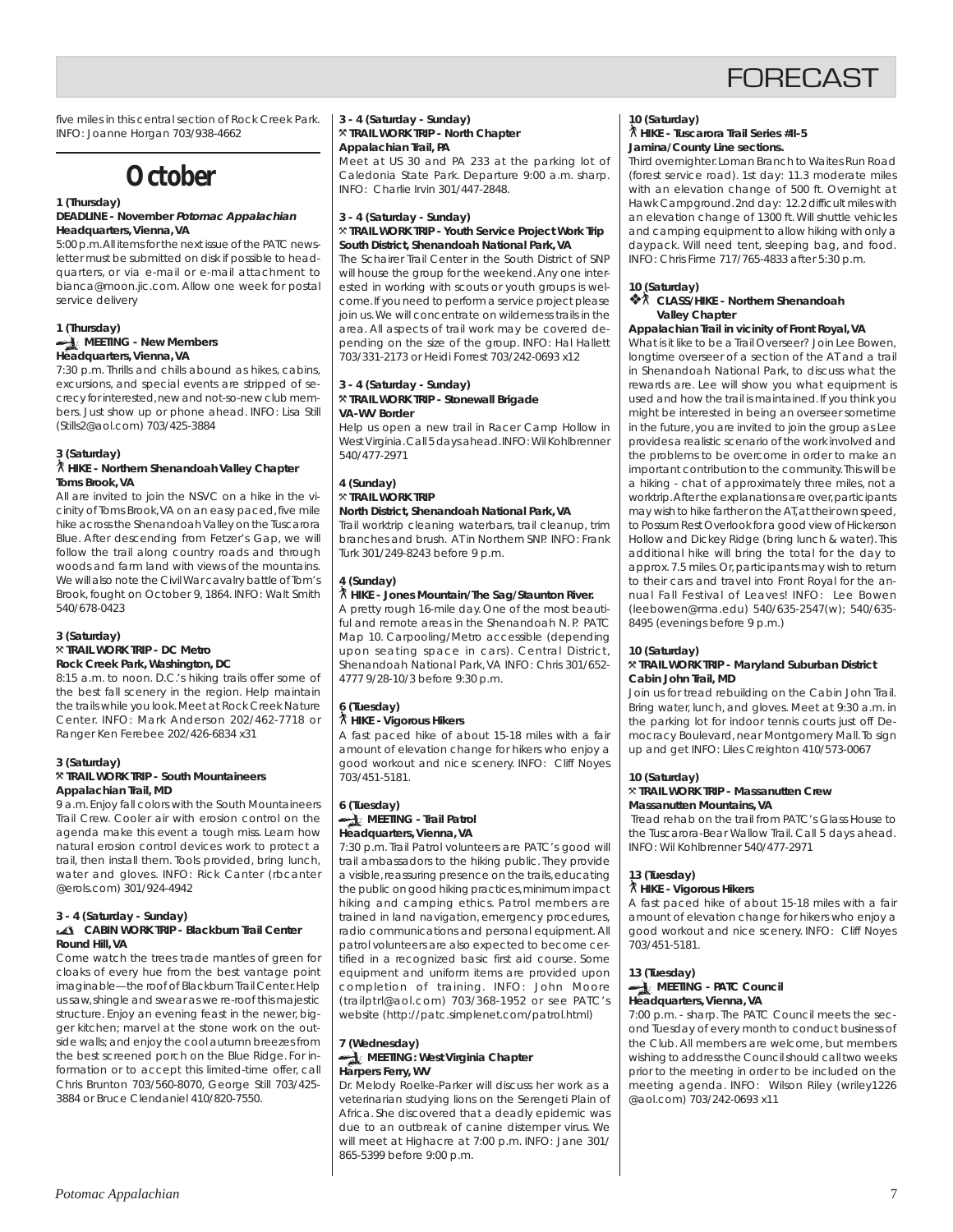

five miles in this central section of Rock Creek Park. INFO: Joanne Horgan 703/938-4662

## **October**

#### **1 (Thursday)**

#### **DEADLINE - November Potomac Appalachian Headquarters, Vienna, VA**

5:00 p.m. All items for the next issue of the PATC newsletter must be submitted on disk if possible to headquarters, or via e-mail or e-mail attachment to bianca@moon.jic.com. Allow one week for postal service delivery

#### **1 (Thursday) MEETING - New Members Headquarters, Vienna, VA**

7:30 p.m. Thrills and chills abound as hikes, cabins, excursions, and special events are stripped of secrecy for interested, new and not-so-new club members. Just show up or phone ahead. INFO: Lisa Still (Stills2@aol.com) 703/425-3884

### **3 (Saturday)** ` **HIKE - Northern Shenandoah Valley Chapter Toms Brook, VA**

All are invited to join the NSVC on a hike in the vicinity of Toms Brook, VA on an easy paced, five mile hike across the Shenandoah Valley on the Tuscarora Blue. After descending from Fetzer's Gap, we will follow the trail along country roads and through woods and farm land with views of the mountains. We will also note the Civil War cavalry battle of Tom's Brook, fought on October 9, 1864. INFO: Walt Smith 540/678-0423

#### **3 (Saturday)** } **TRAIL WORK TRIP - DC Metro Rock Creek Park, Washington, DC**

8:15 a.m. to noon. D.C.'s hiking trails offer some of the best fall scenery in the region. Help maintain the trails while you look. Meet at Rock Creek Nature Center. INFO: Mark Anderson 202/462-7718 or Ranger Ken Ferebee 202/426-6834 x31

#### **3 (Saturday)** } **TRAIL WORK TRIP - South Mountaineers Appalachian Trail, MD**

9 a.m. Enjoy fall colors with the South Mountaineers Trail Crew. Cooler air with erosion control on the agenda make this event a tough miss. Learn how natural erosion control devices work to protect a trail, then install them. Tools provided, bring lunch, water and gloves. INFO: Rick Canter (rbcanter @erols.com) 301/924-4942

#### **3 - 4 (Saturday - Sunday) CABIN WORK TRIP - Blackburn Trail Center Round Hill, VA**

Come watch the trees trade mantles of green for cloaks of every hue from the best vantage point imaginable—the roof of Blackburn Trail Center. Help us saw, shingle and swear as we re-roof this majestic structure. Enjoy an evening feast in the newer, bigger kitchen; marvel at the stone work on the outside walls; and enjoy the cool autumn breezes from the best screened porch on the Blue Ridge. For information or to accept this limited-time offer, call Chris Brunton 703/560-8070, George Still 703/425- 3884 or Bruce Clendaniel 410/820-7550.

**3 - 4 (Saturday - Sunday)** } **TRAIL WORK TRIP - North Chapter Appalachian Trail, PA**

Meet at US 30 and PA 233 at the parking lot of Caledonia State Park. Departure 9:00 a.m. sharp. INFO: Charlie Irvin 301/447-2848.

#### **3 - 4 (Saturday - Sunday)** } **TRAIL WORK TRIP - Youth Service Project Work Trip South District, Shenandoah National Park, VA**

The Schairer Trail Center in the South District of SNP will house the group for the weekend. Any one interested in working with scouts or youth groups is welcome. If you need to perform a service project please join us. We will concentrate on wilderness trails in the area. All aspects of trail work may be covered depending on the size of the group. INFO: Hal Hallett 703/331-2173 or Heidi Forrest 703/242-0693 x12

#### **3 - 4 (Saturday - Sunday)** } **TRAIL WORK TRIP - Stonewall Brigade VA-WV Border**

Help us open a new trail in Racer Camp Hollow in West Virginia. Call 5 days ahead. INFO: Wil Kohlbrenner 540/477-2971

#### **4 (Sunday)** } **TRAIL WORK TRIP**

#### **North District, Shenandoah National Park, VA**

Trail worktrip cleaning waterbars, trail cleanup, trim branches and brush. AT in Northern SNP. INFO: Frank Turk 301/249-8243 before 9 p.m.

#### **4 (Sunday)**

#### ` **HIKE - Jones Mountain/The Sag/Staunton River.**

A pretty rough 16-mile day. One of the most beautiful and remote areas in the Shenandoah N. P. PATC Map 10. Carpooling/Metro accessible (depending upon seating space in cars). Central District, Shenandoah National Park, VA INFO: Chris 301/652- 4777 9/28-10/3 before 9:30 p.m.

## **6 (Tuesday)** ` **HIKE - Vigorous Hikers**

A fast paced hike of about 15-18 miles with a fair amount of elevation change for hikers who enjoy a good workout and nice scenery. INFO: Cliff Noyes 703/451-5181.

#### **6 (Tuesday) MEETING - Trail Patrol Headquarters, Vienna, VA**

7:30 p.m. Trail Patrol volunteers are PATC's good will trail ambassadors to the hiking public. They provide a visible, reassuring presence on the trails, educating the public on good hiking practices, minimum impact hiking and camping ethics. Patrol members are trained in land navigation, emergency procedures, radio communications and personal equipment. All patrol volunteers are also expected to become certified in a recognized basic first aid course. Some equipment and uniform items are provided upon completion of training. INFO: John Moore (trailptrl@aol.com) 703/368-1952 or see PATC's website (http://patc.simplenet.com/patrol.html)

#### **7 (Wednesday) MEETING: West Virginia Chapter Harpers Ferry, WV**

Dr. Melody Roelke-Parker will discuss her work as a veterinarian studying lions on the Serengeti Plain of Africa. She discovered that a deadly epidemic was due to an outbreak of canine distemper virus. We will meet at Highacre at 7:00 p.m. INFO: Jane 301/ 865-5399 before 9:00 p.m.

#### **10 (Saturday)**

#### ` **HIKE - Tuscarora Trail Series #II-5 Jamina/County Line sections.**

Third overnighter. Loman Branch to Waites Run Road (forest service road). 1st day: 11.3 moderate miles with an elevation change of 500 ft. Overnight at Hawk Campground. 2nd day: 12.2 difficult miles with an elevation change of 1300 ft. Will shuttle vehicles and camping equipment to allow hiking with only a daypack. Will need tent, sleeping bag, and food. INFO: Chris Firme 717/765-4833 after 5:30 p.m.

#### **10 (Saturday)**

#### ❖` **CLASS/HIKE - Northern Shenandoah Valley Chapter**

#### **Appalachian Trail in vicinity of Front Royal, VA**

What is it like to be a Trail Overseer? Join Lee Bowen, longtime overseer of a section of the AT and a trail in Shenandoah National Park, to discuss what the rewards are. Lee will show you what equipment is used and how the trail is maintained. If you think you might be interested in being an overseer sometime in the future, you are invited to join the group as Lee provides a realistic scenario of the work involved and the problems to be overcome in order to make an important contribution to the community. This will be a hiking - chat of approximately three miles, not a worktrip. After the explanations are over, participants may wish to hike farther on the AT, at their own speed, to Possum Rest Overlook for a good view of Hickerson Hollow and Dickey Ridge (bring lunch & water). This additional hike will bring the total for the day to approx. 7.5 miles. Or, participants may wish to return to their cars and travel into Front Royal for the annual Fall Festival of Leaves! INFO: Lee Bowen (leebowen@rma.edu) 540/635-2547(w); 540/635- 8495 (evenings before 9 p.m.)

#### **10 (Saturday)**

#### } **TRAIL WORK TRIP - Maryland Suburban District Cabin John Trail, MD**

Join us for tread rebuilding on the Cabin John Trail. Bring water, lunch, and gloves. Meet at 9:30 a.m. in the parking lot for indoor tennis courts just off Democracy Boulevard, near Montgomery Mall. To sign up and get INFO: Liles Creighton 410/573-0067

### **10 (Saturday)**

#### } **TRAIL WORK TRIP - Massanutten Crew Massanutten Mountains, VA**

 Tread rehab on the trail from PATC's Glass House to the Tuscarora-Bear Wallow Trail. Call 5 days ahead. INFO: Wil Kohlbrenner 540/477-2971

#### **13 (Tuesday)**

#### ` **HIKE - Vigorous Hikers**

A fast paced hike of about 15-18 miles with a fair amount of elevation change for hikers who enjoy a good workout and nice scenery. INFO: Cliff Noyes 703/451-5181.

#### **13 (Tuesday) MEETING - PATC Council**

#### **Headquarters, Vienna, VA**

7:00 p.m. - sharp. The PATC Council meets the second Tuesday of every month to conduct business of the Club. All members are welcome, but members wishing to address the Council should call two weeks prior to the meeting in order to be included on the meeting agenda. INFO: Wilson Riley (wriley1226 @aol.com) 703/242-0693 x11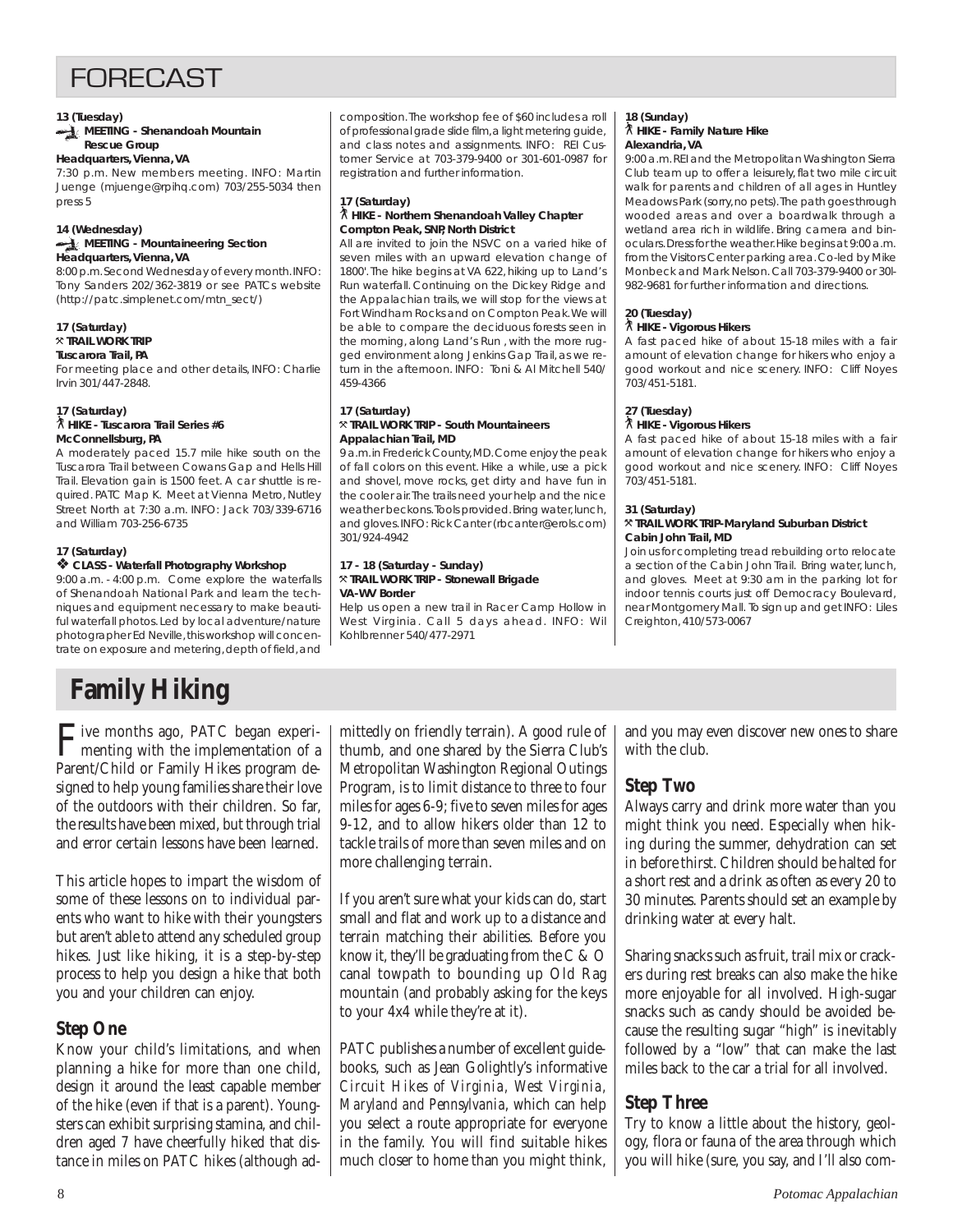## FORECAST

#### **13 (Tuesday)**

#### **MEETING - Shenandoah Mountain Rescue Group**

#### **Headquarters, Vienna, VA**

7:30 p.m. New members meeting. INFO: Martin Juenge (mjuenge@rpihq.com) 703/255-5034 then press 5

#### **14 (Wednesday) MEETING - Mountaineering Section**

#### **Headquarters, Vienna, VA**

8:00 p.m. Second Wednesday of every month. INFO: Tony Sanders 202/362-3819 or see PATCs website (http://patc.simplenet.com/mtn\_sect/)

#### **17 (Saturday)** } **TRAIL WORK TRIP**

#### **Tuscarora Trail, PA**

For meeting place and other details, INFO: Charlie Irvin 301/447-2848.

#### **17 (Saturday)** ` **HIKE - Tuscarora Trail Series #6 McConnellsburg, PA**

A moderately paced 15.7 mile hike south on the Tuscarora Trail between Cowans Gap and Hells Hill Trail. Elevation gain is 1500 feet. A car shuttle is required. PATC Map K. Meet at Vienna Metro, Nutley Street North at 7:30 a.m. INFO: Jack 703/339-6716 and William 703-256-6735

#### **17 (Saturday)**

#### ❖ **CLASS - Waterfall Photography Workshop**

9:00 a.m. - 4:00 p.m. Come explore the waterfalls of Shenandoah National Park and learn the techniques and equipment necessary to make beautiful waterfall photos. Led by local adventure/nature photographer Ed Neville, this workshop will concentrate on exposure and metering, depth of field, and

## **Family Hiking**

Five months ago, PATC began experi-<br>menting with the implementation of a<br>Papart/Child or Family Ullise pregnant da Parent/Child or Family Hikes program designed to help young families share their love of the outdoors with their children. So far, the results have been mixed, but through trial and error certain lessons have been learned.

This article hopes to impart the wisdom of some of these lessons on to individual parents who want to hike with their youngsters but aren't able to attend any scheduled group hikes. Just like hiking, it is a step-by-step process to help you design a hike that both you and your children can enjoy.

### **Step One**

Know your child's limitations, and when planning a hike for more than one child, design it around the least capable member of the hike (even if that is a parent). Youngsters can exhibit surprising stamina, and children aged 7 have cheerfully hiked that distance in miles on PATC hikes (although ad-

composition. The workshop fee of \$60 includes a roll of professional grade slide film, a light metering guide, and class notes and assignments. INFO: REI Customer Service at 703-379-9400 or 301-601-0987 for registration and further information.

#### **17 (Saturday)** ` **HIKE - Northern Shenandoah Valley Chapter Compton Peak, SNP, North District**

All are invited to join the NSVC on a varied hike of seven miles with an upward elevation change of 1800'. The hike begins at VA 622, hiking up to Land's Run waterfall. Continuing on the Dickey Ridge and the Appalachian trails, we will stop for the views at Fort Windham Rocks and on Compton Peak. We will be able to compare the deciduous forests seen in the morning, along Land's Run , with the more rugged environment along Jenkins Gap Trail, as we return in the afternoon. INFO: Toni & Al Mitchell 540/ 459-4366

#### **17 (Saturday)** } **TRAIL WORK TRIP - South Mountaineers Appalachian Trail, MD**

9 a.m. in Frederick County, MD. Come enjoy the peak of fall colors on this event. Hike a while, use a pick and shovel, move rocks, get dirty and have fun in the cooler air. The trails need your help and the nice weather beckons. Tools provided. Bring water, lunch, and gloves. INFO: Rick Canter (rbcanter@erols.com) 301/924-4942

#### **17 - 18 (Saturday - Sunday)** } **TRAIL WORK TRIP - Stonewall Brigade VA-WV Border**

Help us open a new trail in Racer Camp Hollow in West Virginia. Call 5 days ahead. INFO: Wil Kohlbrenner 540/477-2971

#### **18 (Sunday)** ` **HIKE - Family Nature Hike Alexandria, VA**

9:00 a.m. REI and the Metropolitan Washington Sierra Club team up to offer a leisurely, flat two mile circuit walk for parents and children of all ages in Huntley Meadows Park (sorry, no pets). The path goes through wooded areas and over a boardwalk through a wetland area rich in wildlife. Bring camera and binoculars. Dress for the weather. Hike begins at 9:00 a.m. from the Visitors Center parking area. Co-led by Mike Monbeck and Mark Nelson. Call 703-379-9400 or 30l-982-9681 for further information and directions.

#### **20 (Tuesday)**

#### ` **HIKE - Vigorous Hikers**

A fast paced hike of about 15-18 miles with a fair amount of elevation change for hikers who enjoy a good workout and nice scenery. INFO: Cliff Noyes 703/451-5181.

#### **27 (Tuesday)**

#### ` **HIKE - Vigorous Hikers**

A fast paced hike of about 15-18 miles with a fair amount of elevation change for hikers who enjoy a good workout and nice scenery. INFO: Cliff Noyes 703/451-5181.

#### **31 (Saturday)**

#### } **TRAIL WORK TRIP-Maryland Suburban District Cabin John Trail, MD**

Join us for completing tread rebuilding or to relocate a section of the Cabin John Trail. Bring water, lunch, and gloves. Meet at 9:30 am in the parking lot for indoor tennis courts just off Democracy Boulevard, near Montgomery Mall. To sign up and get INFO: Liles Creighton, 410/573-0067

mittedly on friendly terrain). A good rule of thumb, and one shared by the Sierra Club's Metropolitan Washington Regional Outings Program, is to limit distance to three to four miles for ages 6-9; five to seven miles for ages 9-12, and to allow hikers older than 12 to tackle trails of more than seven miles and on more challenging terrain.

If you aren't sure what your kids can do, start small and flat and work up to a distance and terrain matching their abilities. Before you know it, they'll be graduating from the C & O canal towpath to bounding up Old Rag mountain (and probably asking for the keys to your 4x4 while they're at it).

PATC publishes a number of excellent guidebooks, such as Jean Golightly's informative *Circuit Hikes of Virginia, West Virginia, Maryland and Pennsylvania*, which can help you select a route appropriate for everyone in the family. You will find suitable hikes much closer to home than you might think,

and you may even discover new ones to share with the club.

### **Step Two**

Always carry and drink more water than you might think you need. Especially when hiking during the summer, dehydration can set in before thirst. Children should be halted for a short rest and a drink as often as every 20 to 30 minutes. Parents should set an example by drinking water at every halt.

Sharing snacks such as fruit, trail mix or crackers during rest breaks can also make the hike more enjoyable for all involved. High-sugar snacks such as candy should be avoided because the resulting sugar "high" is inevitably followed by a "low" that can make the last miles back to the car a trial for all involved.

## **Step Three**

Try to know a little about the history, geology, flora or fauna of the area through which you will hike (sure, you say, and I'll also com-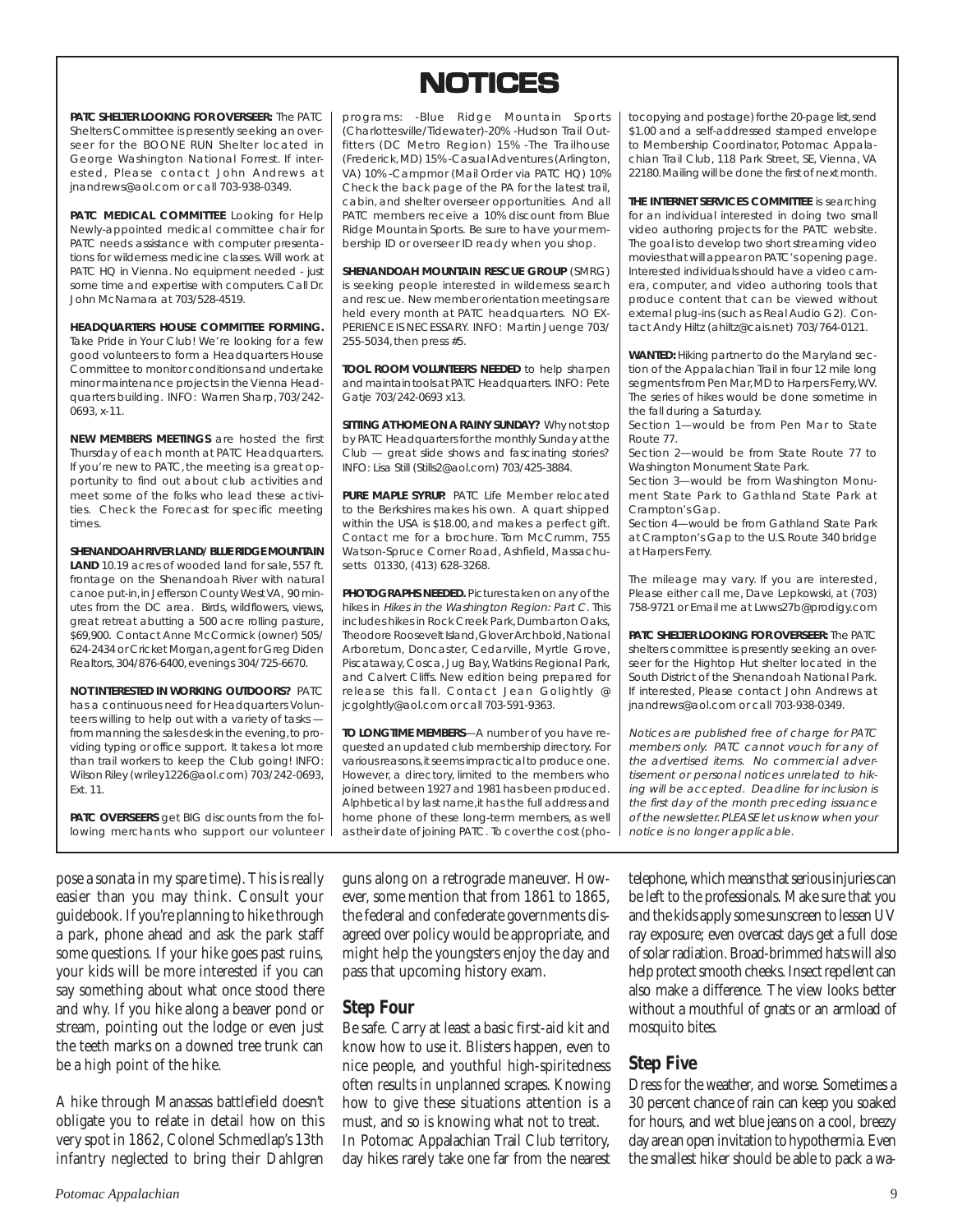## **NOTICES NOTICES**

**PATC SHELTER LOOKING FOR OVERSEER:** The PATC Shelters Committee is presently seeking an overseer for the BOONE RUN Shelter located in George Washington National Forrest. If interested, Please contact John Andrews at jnandrews@aol.com or call 703-938-0349.

**PATC MEDICAL COMMITTEE** Looking for Help Newly-appointed medical committee chair for PATC needs assistance with computer presentations for wilderness medicine classes. Will work at PATC HQ in Vienna. No equipment needed - just some time and expertise with computers. Call Dr. John McNamara at 703/528-4519.

**HEADQUARTERS HOUSE COMMITTEE FORMING.** Take Pride in Your Club! We're looking for a few good volunteers to form a Headquarters House Committee to monitor conditions and undertake minor maintenance projects in the Vienna Headquarters building. INFO: Warren Sharp, 703/242- 0693, x-11.

**NEW MEMBERS MEETINGS** are hosted the first Thursday of each month at PATC Headquarters. If you're new to PATC, the meeting is a great opportunity to find out about club activities and meet some of the folks who lead these activities. Check the Forecast for specific meeting times.

**SHENANDOAH RIVER LAND/ BLUE RIDGE MOUNTAIN LAND** 10.19 acres of wooded land for sale, 557 ft. frontage on the Shenandoah River with natural canoe put-in, in Jefferson County West VA, 90 minutes from the DC area. Birds, wildflowers, views, great retreat abutting a 500 acre rolling pasture, \$69,900. Contact Anne McCormick (owner) 505/ 624-2434 or Cricket Morgan, agent for Greg Diden Realtors, 304/876-6400, evenings 304/725-6670.

**NOT INTERESTED IN WORKING OUTDOORS?** PATC has a continuous need for Headquarters Volunteers willing to help out with a variety of tasks from manning the sales desk in the evening, to providing typing or office support. It takes a lot more than trail workers to keep the Club going! INFO: Wilson Riley (wriley1226@aol.com) 703/242-0693, Ext. 11.

**PATC OVERSEERS** get BIG discounts from the following merchants who support our volunteer programs: -Blue Ridge Mountain Sports (Charlottesville/Tidewater)-20% -Hudson Trail Outfitters (DC Metro Region) 15% -The Trailhouse (Frederick, MD) 15% -Casual Adventures (Arlington, VA) 10% -Campmor (Mail Order via PATC HQ) 10% Check the back page of the PA for the latest trail, cabin, and shelter overseer opportunities. And all PATC members receive a 10% discount from Blue Ridge Mountain Sports. Be sure to have your membership ID or overseer ID ready when you shop.

**SHENANDOAH MOUNTAIN RESCUE GROUP** (SMRG) is seeking people interested in wilderness search and rescue. New member orientation meetings are held every month at PATC headquarters. NO EX-PERIENCE IS NECESSARY. INFO: Martin Juenge 703/ 255-5034, then press #5.

**TOOL ROOM VOLUNTEERS NEEDED** to help sharpen and maintain tools at PATC Headquarters. INFO: Pete Gatje 703/242-0693 x13.

**SITTING AT HOME ON A RAINY SUNDAY?** Why not stop by PATC Headquarters for the monthly Sunday at the Club — great slide shows and fascinating stories? INFO: Lisa Still (Stills2@aol.com) 703/425-3884.

**PURE MAPLE SYRUP.** PATC Life Member relocated to the Berkshires makes his own. A quart shipped within the USA is \$18.00, and makes a perfect gift. Contact me for a brochure. Tom McCrumm, 755 Watson-Spruce Corner Road, Ashfield, Massachusetts 01330, (413) 628-3268.

**PHOTOGRAPHS NEEDED.** Pictures taken on any of the hikes in Hikes in the Washington Region: Part C. This includes hikes in Rock Creek Park, Dumbarton Oaks, Theodore Roosevelt Island, Glover Archbold, National Arboretum, Doncaster, Cedarville, Myrtle Grove, Piscataway, Cosca, Jug Bay, Watkins Regional Park, and Calvert Cliffs. New edition being prepared for release this fall. Contact Jean Golightly @ jcgolghtly@aol.com or call 703-591-9363.

**TO LONGTIME MEMBERS**—A number of you have requested an updated club membership directory. For various reasons, it seems impractical to produce one. However, a directory, limited to the members who joined between 1927 and 1981 has been produced. Alphbetical by last name,it has the full address and home phone of these long-term members, as well as their date of joining PATC. To cover the cost (photocopying and postage) for the 20-page list, send \$1.00 and a self-addressed stamped envelope to Membership Coordinator, Potomac Appalachian Trail Club, 118 Park Street, SE, Vienna, VA 22180. Mailing will be done the first of next month.

**THE INTERNET SERVICES COMMITTEE** is searching for an individual interested in doing two small video authoring projects for the PATC website. The goal is to develop two short streaming video movies that will appear on PATC's opening page. Interested individuals should have a video camera, computer, and video authoring tools that produce content that can be viewed without external plug-ins (such as Real Audio G2). Contact Andy Hiltz (ahiltz@cais.net) 703/764-0121.

**WANTED:** Hiking partner to do the Maryland section of the Appalachian Trail in four 12 mile long segments from Pen Mar, MD to Harpers Ferry, WV. The series of hikes would be done sometime in the fall during a Saturday.

Section 1—would be from Pen Mar to State Route 77.

Section 2—would be from State Route 77 to Washington Monument State Park.

Section 3—would be from Washington Monument State Park to Gathland State Park at Crampton's Gap.

Section 4—would be from Gathland State Park at Crampton's Gap to the U.S. Route 340 bridge at Harpers Ferry.

The mileage may vary. If you are interested, Please either call me, Dave Lepkowski, at (703) 758-9721 or Email me at Lwws27b@prodigy.com

**PATC SHELTER LOOKING FOR OVERSEER:** The PATC shelters committee is presently seeking an overseer for the Hightop Hut shelter located in the South District of the Shenandoah National Park. If interested, Please contact John Andrews at jnandrews@aol.com or call 703-938-0349.

Notices are published free of charge for PATC members only. PATC cannot vouch for any of the advertised items. No commercial advertisement or personal notices unrelated to hiking will be accepted. Deadline for inclusion is the first day of the month preceding issuance of the newsletter. PLEASE let us know when your notice is no longer applicable.

pose a sonata in my spare time). This is really easier than you may think. Consult your guidebook. If you're planning to hike through a park, phone ahead and ask the park staff some questions. If your hike goes past ruins, your kids will be more interested if you can say something about what once stood there and why. If you hike along a beaver pond or stream, pointing out the lodge or even just the teeth marks on a downed tree trunk can be a high point of the hike.

A hike through Manassas battlefield doesn't obligate you to relate in detail how on this very spot in 1862, Colonel Schmedlap's 13th infantry neglected to bring their Dahlgren

guns along on a retrograde maneuver. However, some mention that from 1861 to 1865, the federal and confederate governments disagreed over policy would be appropriate, and might help the youngsters enjoy the day and pass that upcoming history exam.

### **Step Four**

Be safe. Carry at least a basic first-aid kit and know how to use it. Blisters happen, even to nice people, and youthful high-spiritedness often results in unplanned scrapes. Knowing how to give these situations attention is a must, and so is knowing what not to treat. In Potomac Appalachian Trail Club territory, day hikes rarely take one far from the nearest telephone, which means that serious injuries can be left to the professionals. Make sure that you and the kids apply some sunscreen to lessen UV ray exposure; even overcast days get a full dose of solar radiation. Broad-brimmed hats will also help protect smooth cheeks. Insect repellent can also make a difference. The view looks better without a mouthful of gnats or an armload of mosquito bites.

## **Step Five**

Dress for the weather, and worse. Sometimes a 30 percent chance of rain can keep you soaked for hours, and wet blue jeans on a cool, breezy day are an open invitation to hypothermia. Even the smallest hiker should be able to pack a wa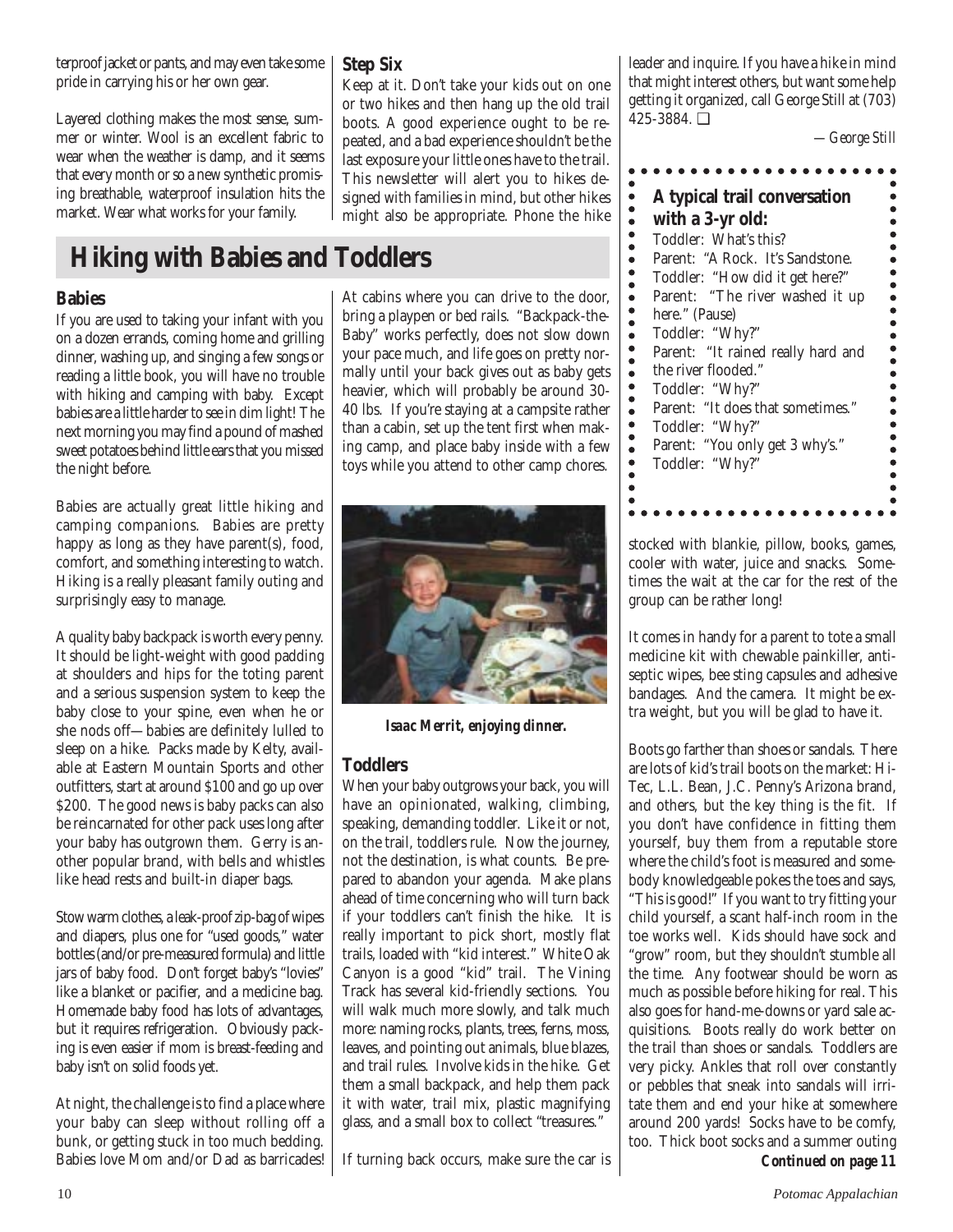terproof jacket or pants, and may even take some pride in carrying his or her own gear.

Layered clothing makes the most sense, summer or winter. Wool is an excellent fabric to wear when the weather is damp, and it seems that every month or so a new synthetic promising breathable, waterproof insulation hits the market. Wear what works for your family.

## **Hiking with Babies and Toddlers**

### **Babies**

If you are used to taking your infant with you on a dozen errands, coming home and grilling dinner, washing up, and singing a few songs or reading a little book, you will have no trouble with hiking and camping with baby. Except babies are a little harder to see in dim light! The next morning you may find a pound of mashed sweet potatoes behind little ears that you missed the night before.

Babies are actually great little hiking and camping companions. Babies are pretty happy as long as they have parent(s), food, comfort, and something interesting to watch. Hiking is a really pleasant family outing and surprisingly easy to manage.

A quality baby backpack is worth every penny. It should be light-weight with good padding at shoulders and hips for the toting parent and a serious suspension system to keep the baby close to your spine, even when he or she nods off—babies are definitely lulled to sleep on a hike. Packs made by Kelty, available at Eastern Mountain Sports and other outfitters, start at around \$100 and go up over \$200. The good news is baby packs can also be reincarnated for other pack uses long after your baby has outgrown them. Gerry is another popular brand, with bells and whistles like head rests and built-in diaper bags.

Stow warm clothes, a leak-proof zip-bag of wipes and diapers, plus one for "used goods," water bottles (and/or pre-measured formula) and little jars of baby food. Don't forget baby's "lovies" like a blanket or pacifier, and a medicine bag. Homemade baby food has lots of advantages, but it requires refrigeration. Obviously packing is even easier if mom is breast-feeding and baby isn't on solid foods yet.

At night, the challenge is to find a place where your baby can sleep without rolling off a bunk, or getting stuck in too much bedding. Babies love Mom and/or Dad as barricades! At cabins where you can drive to the door, bring a playpen or bed rails. "Backpack-the-Baby" works perfectly, does not slow down your pace much, and life goes on pretty normally until your back gives out as baby gets heavier, which will probably be around 30- 40 lbs. If you're staying at a campsite rather than a cabin, set up the tent first when making camp, and place baby inside with a few toys while you attend to other camp chores.

Keep at it. Don't take your kids out on one or two hikes and then hang up the old trail boots. A good experience ought to be repeated, and a bad experience shouldn't be the last exposure your little ones have to the trail. This newsletter will alert you to hikes designed with families in mind, but other hikes might also be appropriate. Phone the hike



 *Isaac Merrit, enjoying dinner.*

## **Toddlers**

**Step Six**

When your baby outgrows your back, you will have an opinionated, walking, climbing, speaking, demanding toddler. Like it or not, on the trail, toddlers rule. Now the journey, not the destination, is what counts. Be prepared to abandon your agenda. Make plans ahead of time concerning who will turn back if your toddlers can't finish the hike. It is really important to pick short, mostly flat trails, loaded with "kid interest." White Oak Canyon is a good "kid" trail. The Vining Track has several kid-friendly sections. You will walk much more slowly, and talk much more: naming rocks, plants, trees, ferns, moss, leaves, and pointing out animals, blue blazes, and trail rules. Involve kids in the hike. Get them a small backpack, and help them pack it with water, trail mix, plastic magnifying glass, and a small box to collect "treasures."

If turning back occurs, make sure the car is *Continued on page 11*

leader and inquire. If you have a hike in mind that might interest others, but want some help getting it organized, call George Still at (703) 425-3884. ❑

*—George Still*

| A typical trail conversation       |
|------------------------------------|
| with a 3-yr old:                   |
| Toddler: What's this?              |
| Parent: "A Rock. It's Sandstone.   |
| Toddler: "How did it get here?"    |
| Parent: "The river washed it up    |
| here." (Pause)                     |
| Toddler: "Why?"                    |
| Parent: "It rained really hard and |
| the river flooded."                |
| Toddler: "Why?"                    |
| Parent: "It does that sometimes."  |
| Toddler: "Why?"                    |
| Parent: "You only get 3 why's."    |
| Toddler: "Why?"                    |
|                                    |

stocked with blankie, pillow, books, games, cooler with water, juice and snacks. Sometimes the wait at the car for the rest of the group can be rather long!

It comes in handy for a parent to tote a small medicine kit with chewable painkiller, antiseptic wipes, bee sting capsules and adhesive bandages. And the camera. It might be extra weight, but you will be glad to have it.

Boots go farther than shoes or sandals. There are lots of kid's trail boots on the market: Hi-Tec, L.L. Bean, J.C. Penny's Arizona brand, and others, but the key thing is the fit. If you don't have confidence in fitting them yourself, buy them from a reputable store where the child's foot is measured and somebody knowledgeable pokes the toes and says, "This is good!" If you want to try fitting your child yourself, a scant half-inch room in the toe works well. Kids should have sock and "grow" room, but they shouldn't stumble all the time. Any footwear should be worn as much as possible before hiking for real. This also goes for hand-me-downs or yard sale acquisitions. Boots really do work better on the trail than shoes or sandals. Toddlers are very picky. Ankles that roll over constantly or pebbles that sneak into sandals will irritate them and end your hike at somewhere around 200 yards! Socks have to be comfy, too. Thick boot socks and a summer outing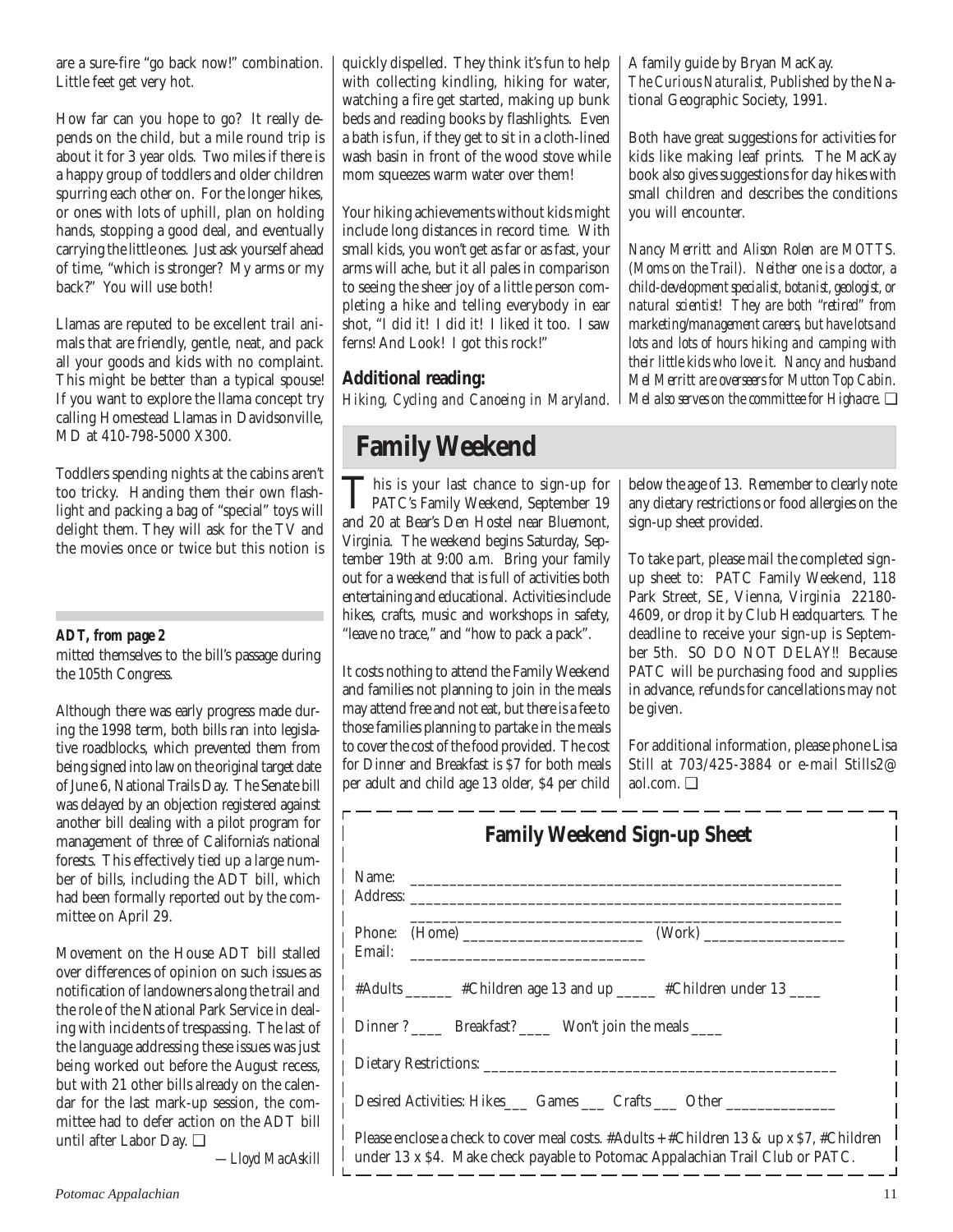are a sure-fire "go back now!" combination. Little feet get very hot.

How far can you hope to go? It really depends on the child, but a mile round trip is about it for 3 year olds. Two miles if there is a happy group of toddlers and older children spurring each other on. For the longer hikes, or ones with lots of uphill, plan on holding hands, stopping a good deal, and eventually carrying the little ones. Just ask yourself ahead of time, "which is stronger? My arms or my back?" You will use both!

Llamas are reputed to be excellent trail animals that are friendly, gentle, neat, and pack all your goods and kids with no complaint. This might be better than a typical spouse! If you want to explore the llama concept try calling Homestead Llamas in Davidsonville, MD at 410-798-5000 X300.

Toddlers spending nights at the cabins aren't too tricky. Handing them their own flashlight and packing a bag of "special" toys will delight them. They will ask for the TV and the movies once or twice but this notion is

### *ADT, from page 2*

mitted themselves to the bill's passage during the 105th Congress.

Although there was early progress made during the 1998 term, both bills ran into legislative roadblocks, which prevented them from being signed into law on the original target date of June 6, National Trails Day. The Senate bill was delayed by an objection registered against another bill dealing with a pilot program for management of three of California's national forests. This effectively tied up a large number of bills, including the ADT bill, which had been formally reported out by the committee on April 29.

Movement on the House ADT bill stalled over differences of opinion on such issues as notification of landowners along the trail and the role of the National Park Service in dealing with incidents of trespassing. The last of the language addressing these issues was just being worked out before the August recess, but with 21 other bills already on the calendar for the last mark-up session, the committee had to defer action on the ADT bill until after Labor Day. ❑

*—Lloyd MacAskill*

quickly dispelled. They think it's fun to help with collecting kindling, hiking for water, watching a fire get started, making up bunk beds and reading books by flashlights. Even a bath is fun, if they get to sit in a cloth-lined wash basin in front of the wood stove while mom squeezes warm water over them!

Your hiking achievements without kids might include long distances in record time. With small kids, you won't get as far or as fast, your arms will ache, but it all pales in comparison to seeing the sheer joy of a little person completing a hike and telling everybody in ear shot, "I did it! I did it! I liked it too. I saw ferns! And Look! I got this rock!"

## **Additional reading:**

*Hiking, Cycling and Canoeing in Maryland.*

## **Family Weekend**

This is your last chance to sign-up for<br>PATC's Family Weekend, September 19<br>and 20 at Boais Dan Hatal pear Bluemant and 20 at Bear's Den Hostel near Bluemont, Virginia. The weekend begins Saturday, September 19th at 9:00 a.m. Bring your family out for a weekend that is full of activities both entertaining and educational. Activities include hikes, crafts, music and workshops in safety, "leave no trace," and "how to pack a pack".

It costs nothing to attend the Family Weekend and families not planning to join in the meals may attend free and not eat, but there is a fee to those families planning to partake in the meals to cover the cost of the food provided. The cost for Dinner and Breakfast is \$7 for both meals per adult and child age 13 older, \$4 per child A family guide by Bryan MacKay. *The Curious Naturalist,* Published by the National Geographic Society, 1991.

Both have great suggestions for activities for kids like making leaf prints. The MacKay book also gives suggestions for day hikes with small children and describes the conditions you will encounter.

*Nancy Merritt and Alison Rolen are MOTTS. (Moms on the Trail). Neither one is a doctor, a child-development specialist, botanist, geologist, or natural scientist! They are both "retired" from marketing/management careers, but have lots and lots and lots of hours hiking and camping with their little kids who love it. Nancy and husband Mel Merritt are overseers for Mutton Top Cabin. Mel also serves on the committee for Highacre.* ❑

below the age of 13. Remember to clearly note any dietary restrictions or food allergies on the sign-up sheet provided.

To take part, please mail the completed signup sheet to: PATC Family Weekend, 118 Park Street, SE, Vienna, Virginia 22180- 4609, or drop it by Club Headquarters. The deadline to receive your sign-up is September 5th. SO DO NOT DELAY!! Because PATC will be purchasing food and supplies in advance, refunds for cancellations may not be given.

For additional information, please phone Lisa Still at 703/425-3884 or e-mail Stills2@ aol.com. ❑

|       | <b>Family Weekend Sign-up Sheet</b>                                                                                                                                         |
|-------|-----------------------------------------------------------------------------------------------------------------------------------------------------------------------------|
| Name: |                                                                                                                                                                             |
|       | Email: 2008. 2009. 2010. 2010. 2010. 2010. 2010. 2010. 2010. 2011. 2012. 2014. 2016. 2017. 2018. 2019. 2019. 20                                                             |
|       | #Adults _______ #Children age 13 and up ______ #Children under 13 ____                                                                                                      |
|       | Dinner? ______ Breakfast? ______ Won't join the meals _____                                                                                                                 |
|       |                                                                                                                                                                             |
|       | Desired Activities: Hikes____ Games ____ Crafts ____ Other _____________________                                                                                            |
|       | Please enclose a check to cover meal costs. #Adults + #Children 13 & up x \$7, #Children<br>I under 13 x \$4. Make check payable to Potomac Appalachian Trail Club or PATC. |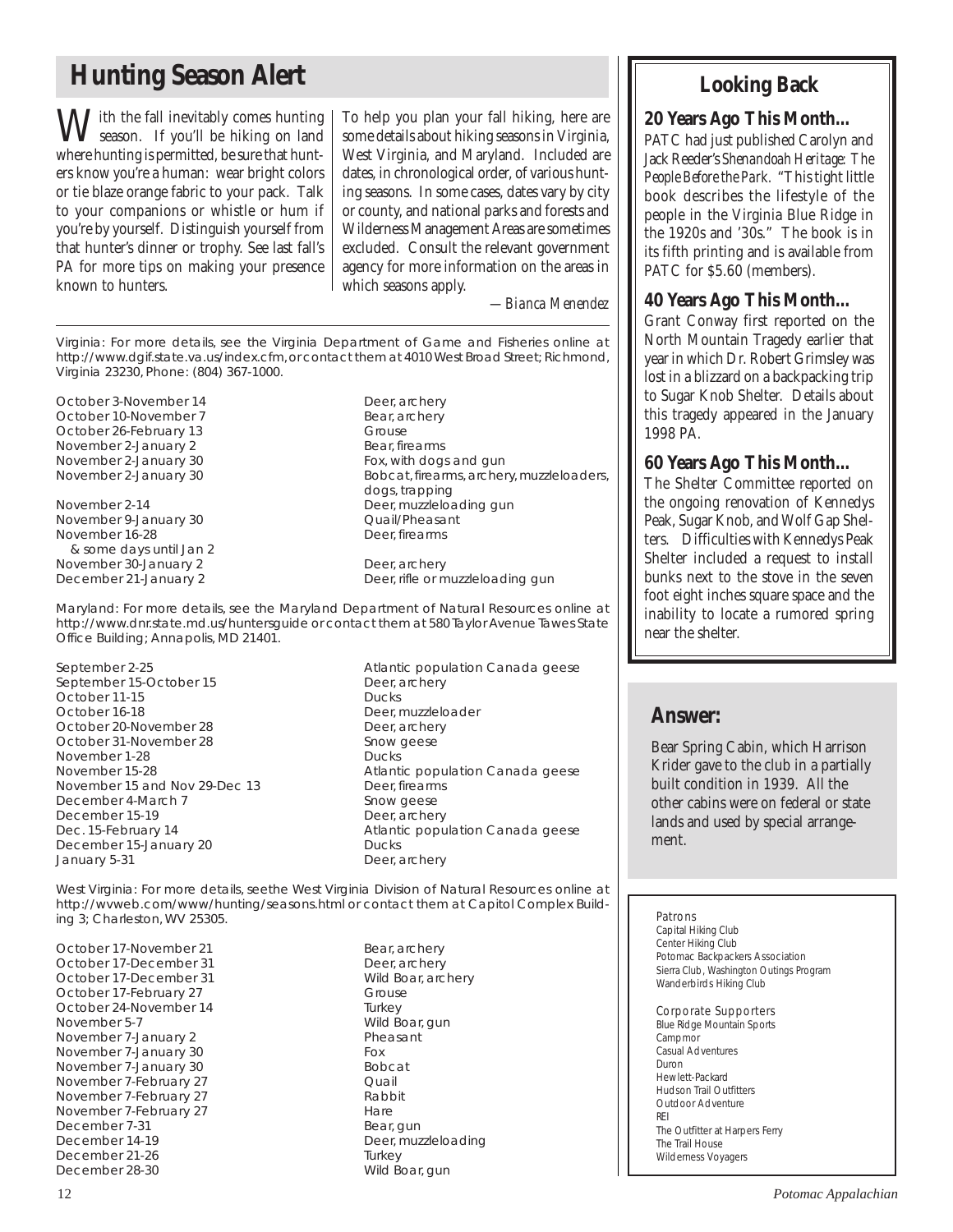## **Hunting Season Alert**

With the fall inevitably comes hunting<br>season. If you'll be hiking on land<br>select hunting is according to some that hunt where hunting is permitted, be sure that hunters know you're a human: wear bright colors or tie blaze orange fabric to your pack. Talk to your companions or whistle or hum if you're by yourself. Distinguish yourself from that hunter's dinner or trophy. See last fall's PA for more tips on making your presence known to hunters.

To help you plan your fall hiking, here are some details about hiking seasons in Virginia, West Virginia, and Maryland. Included are dates, in chronological order, of various hunting seasons. In some cases, dates vary by city or county, and national parks and forests and Wilderness Management Areas are sometimes excluded. Consult the relevant government agency for more information on the areas in which seasons apply.

*—Bianca Menendez*

Virginia: For more details, see the Virginia Department of Game and Fisheries online at http://www.dgif.state.va.us/index.cfm, or contact them at 4010 West Broad Street; Richmond, Virginia 23230, Phone: (804) 367-1000.

October 3-November 14 Deer, archery October 10-November 7 Bear, archery October 26-February 13 Grouse November 2-January 2 Bear, firearms<br>
November 2-January 30 **Bear** Fox, with dogs

November 2-14 **Deer**, muzzleloading gun November 9-January 30 Quail/Pheasant November 16-28 Deer, firearms & some days until Jan 2 November 30-January 2 Deer, archery

Fox, with dogs and gun November 2-January 30 Bobcat, firearms, archery, muzzleloaders, dogs, trapping

December 21-January 2 Deer, rifle or muzzleloading gun

Maryland: For more details, see the Maryland Department of Natural Resources online at http://www.dnr.state.md.us/huntersguide or contact them at 580 Taylor Avenue Tawes State Office Building; Annapolis, MD 21401.

September 15-October 15 October 11-15 Ducks October 16-18 Deer, muzzleloader October 20-November 28 Deer, archery October 31-November 28 Snow geese November 1-28 Ducks November 15 and Nov 29-Dec 13 Deer, firearms December 4-March 7 Snow geese December 15-19 Deer, archery December 15-January 20 Ducks January 5-31 **Deer**, archery

September 2-25 <br>September 15-October 15 <br>Deer, archery November 15-28 **Atlantic population Canada geese** Atlantic population Canada geese Dec. 15-February 14 **Atlantic population Canada geese** 

West Virginia: For more details, seethe West Virginia Division of Natural Resources online at http://wvweb.com/www/hunting/seasons.html or contact them at Capitol Complex Building 3; Charleston, WV 25305.

October 17-November 21 Bear, archery October 17-December 31 Deer, archery October 17-December 31 Wild Boar, archery October 17-February 27 Grouse October 24-November 14 Turkey November 5-7 Wild Boar, gun November 7-January 2 Pheasant November 7-January 30 Fox November 7-January 30 Bobcat November 7-February 27 Quail November 7-February 27 Rabbit November 7-February 27 **Hare**<br>December 7-31 **Hare** Bear, gun December 7-31 December 14-19 Deer, muzzleloading December 21-26 Turkey<br>December 28-30 Turkey Wild Boar, gun December 28-30

## **Looking Back**

### **20 Years Ago This Month...**

PATC had just published Carolyn and Jack Reeder's *Shenandoah Heritage: The People Before the Park.* "This tight little book describes the lifestyle of the people in the Virginia Blue Ridge in the 1920s and '30s." The book is in its fifth printing and is available from PATC for \$5.60 (members).

### **40 Years Ago This Month...**

Grant Conway first reported on the North Mountain Tragedy earlier that year in which Dr. Robert Grimsley was lost in a blizzard on a backpacking trip to Sugar Knob Shelter. Details about this tragedy appeared in the January 1998 PA.

### **60 Years Ago This Month...**

The Shelter Committee reported on the ongoing renovation of Kennedys Peak, Sugar Knob, and Wolf Gap Shelters. Difficulties with Kennedys Peak Shelter included a request to install bunks next to the stove in the seven foot eight inches square space and the inability to locate a rumored spring near the shelter.

## **Answer:**

Bear Spring Cabin, which Harrison Krider gave to the club in a partially built condition in 1939. All the other cabins were on federal or state lands and used by special arrangement.

### Patrons

Capital Hiking Club Center Hiking Club Potomac Backpackers Association Sierra Club, Washington Outings Program Wanderbirds Hiking Club

#### Corporate Supporters

Blue Ridge Mountain Sports Campmor Casual Adventures Duron Hewlett-Packard Hudson Trail Outfitters Outdoor Adventure REI The Outfitter at Harpers Ferry The Trail House Wilderness Voyagers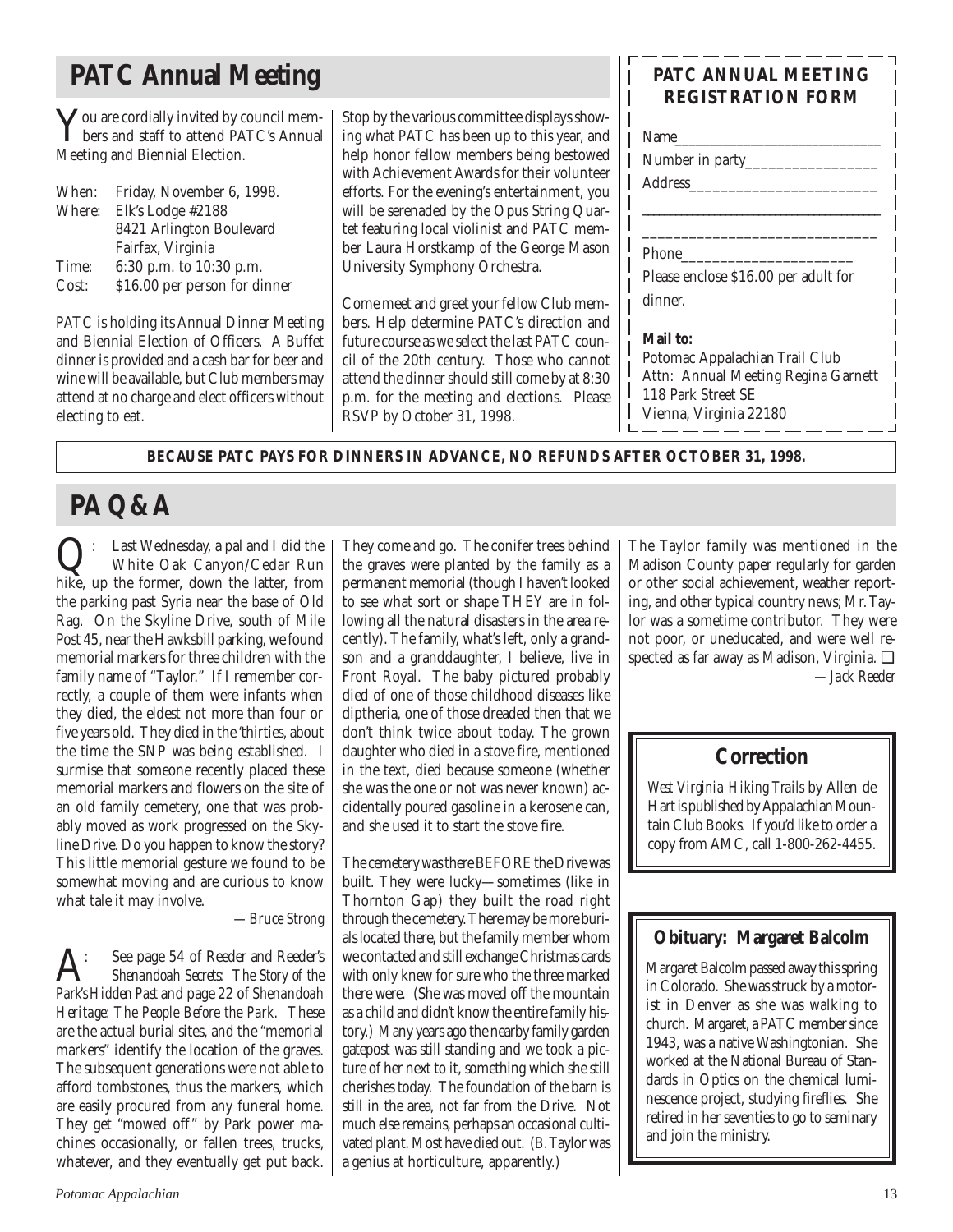## **PATC Annual Meeting**

You are cordially invited by council mem-bers and staff to attend PATC's Annual Meeting and Biennial Election.

| When:  | Friday, November 6, 1998.     |
|--------|-------------------------------|
| Where: | Elk's Lodge #2188             |
|        | 8421 Arlington Boulevard      |
|        | Fairfax, Virginia             |
| Time:  | 6:30 p.m. to 10:30 p.m.       |
| Cost:  | \$16.00 per person for dinner |

PATC is holding its Annual Dinner Meeting and Biennial Election of Officers. A Buffet dinner is provided and a cash bar for beer and wine will be available, but Club members may attend at no charge and elect officers without electing to eat.

Stop by the various committee displays showing what PATC has been up to this year, and help honor fellow members being bestowed with Achievement Awards for their volunteer efforts. For the evening's entertainment, you will be serenaded by the Opus String Quartet featuring local violinist and PATC member Laura Horstkamp of the George Mason University Symphony Orchestra.

Come meet and greet your fellow Club members. Help determine PATC's direction and future course as we select the last PATC council of the 20th century. Those who cannot attend the dinner should still come by at 8:30 p.m. for the meeting and elections. Please RSVP by October 31, 1998.

## **PATC ANNUAL MEETING REGISTRATION FORM**

| Name                                 |
|--------------------------------------|
| Number in party_                     |
| Address                              |
|                                      |
|                                      |
| Please enclose \$16.00 per adult for |
| dinner.                              |
| Mail to:                             |
| Potomac Appalachian Trail Club       |
| Attn: Annual Meeting Regina Garnett  |
| 118 Park Street SE                   |
| Vienna, Virginia 22180               |

**BECAUSE PATC PAYS FOR DINNERS IN ADVANCE, NO REFUNDS AFTER OCTOBER 31, 1998.**

## **PA Q&A**

Q: Last Wednesday, a pal and I did the<br>White Oak Canyon/Cedar Run<br>hitter from hike, up the former, down the latter, from the parking past Syria near the base of Old Rag. On the Skyline Drive, south of Mile Post 45, near the Hawksbill parking, we found memorial markers for three children with the family name of "Taylor." If I remember correctly, a couple of them were infants when they died, the eldest not more than four or five years old. They died in the 'thirties, about the time the SNP was being established. I surmise that someone recently placed these memorial markers and flowers on the site of an old family cemetery, one that was probably moved as work progressed on the Skyline Drive. Do you happen to know the story? This little memorial gesture we found to be somewhat moving and are curious to know what tale it may involve.

*—Bruce Strong*

A: See page 54 of Reeder and Reeder's *Shenandoah Secrets: The Story of the Park's Hidden Past* and page 22 of *Shenandoah Heritage: The People Before the Park.* These are the actual burial sites, and the "memorial markers" identify the location of the graves. The subsequent generations were not able to afford tombstones, thus the markers, which are easily procured from any funeral home. They get "mowed off" by Park power machines occasionally, or fallen trees, trucks, whatever, and they eventually get put back.

They come and go. The conifer trees behind the graves were planted by the family as a permanent memorial (though I haven't looked to see what sort or shape THEY are in following all the natural disasters in the area recently). The family, what's left, only a grandson and a granddaughter, I believe, live in Front Royal. The baby pictured probably died of one of those childhood diseases like diptheria, one of those dreaded then that we don't think twice about today. The grown daughter who died in a stove fire, mentioned in the text, died because someone (whether she was the one or not was never known) accidentally poured gasoline in a kerosene can, and she used it to start the stove fire.

The cemetery was there BEFORE the Drive was built. They were lucky—sometimes (like in Thornton Gap) they built the road right through the cemetery. There may be more burials located there, but the family member whom we contacted and still exchange Christmas cards with only knew for sure who the three marked there were. (She was moved off the mountain as a child and didn't know the entire family history.) Many years ago the nearby family garden gatepost was still standing and we took a picture of her next to it, something which she still cherishes today. The foundation of the barn is still in the area, not far from the Drive. Not much else remains, perhaps an occasional cultivated plant. Most have died out. (B. Taylor was a genius at horticulture, apparently.)

The Taylor family was mentioned in the Madison County paper regularly for garden or other social achievement, weather reporting, and other typical country news; Mr. Taylor was a sometime contributor. They were not poor, or uneducated, and were well respected as far away as Madison, Virginia. ❑ *—Jack Reeder*

## **Correction**

*West Virginia Hiking Trails* by Allen de Hart is published by Appalachian Mountain Club Books. If you'd like to order a copy from AMC, call 1-800-262-4455.

## **Obituary: Margaret Balcolm**

Margaret Balcolm passed away this spring in Colorado. She was struck by a motorist in Denver as she was walking to church. Margaret, a PATC member since 1943, was a native Washingtonian. She worked at the National Bureau of Standards in Optics on the chemical luminescence project, studying fireflies. She retired in her seventies to go to seminary and join the ministry.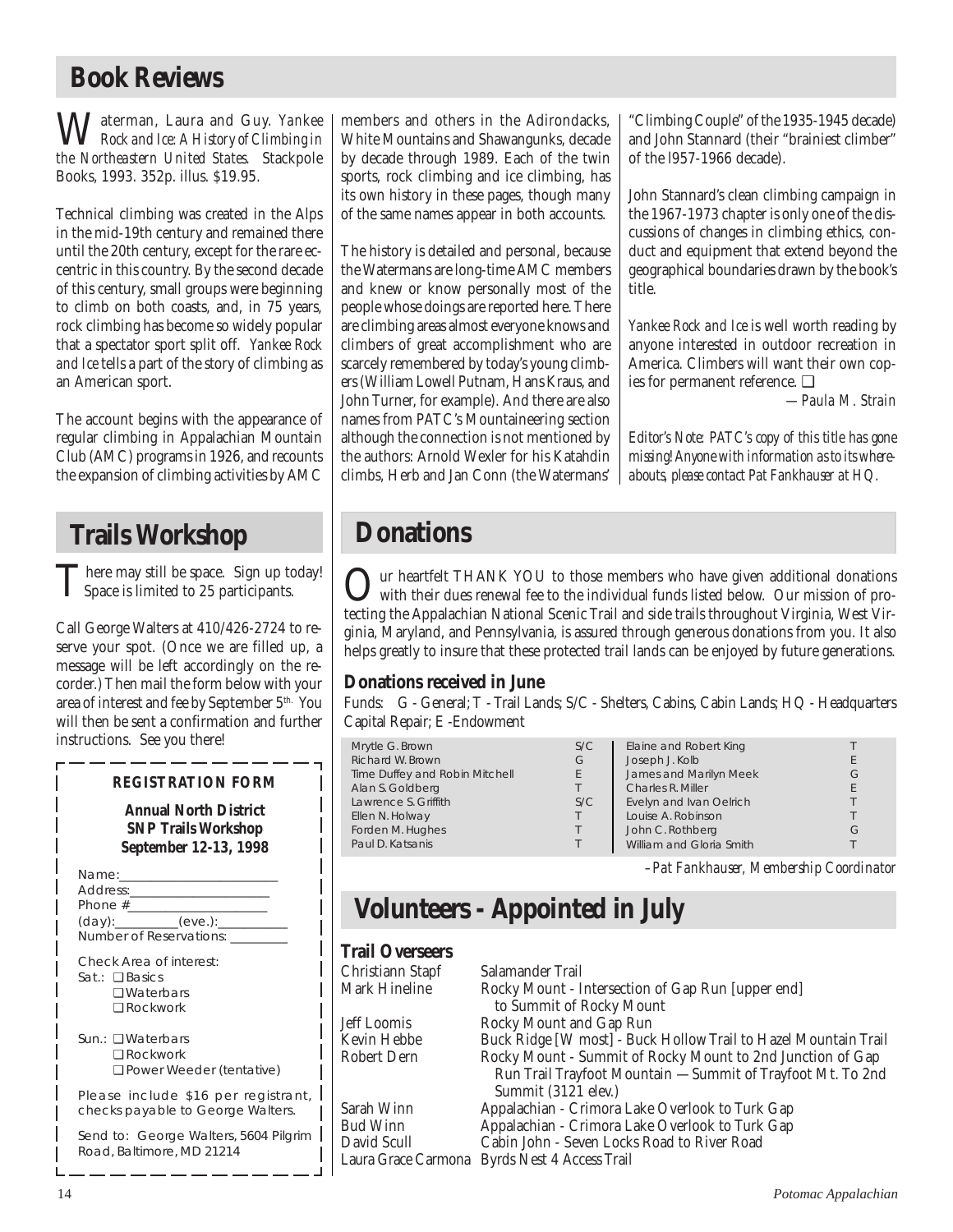## **Book Reviews**

Waterman, Laura and Guy. *Yankee Rock and Ice: A History of Climbing in the Northeastern United States.* Stackpole Books, 1993. 352p. illus. \$19.95.

Technical climbing was created in the Alps in the mid-19th century and remained there until the 20th century, except for the rare eccentric in this country. By the second decade of this century, small groups were beginning to climb on both coasts, and, in 75 years, rock climbing has become so widely popular that a spectator sport split off. *Yankee Rock and Ice* tells a part of the story of climbing as an American sport.

The account begins with the appearance of regular climbing in Appalachian Mountain Club (AMC) programs in 1926, and recounts the expansion of climbing activities by AMC

## **Trails Workshop**

There may still be space. Sign up today!<br>Space is limited to 25 participants.

Call George Walters at 410/426-2724 to reserve your spot. (Once we are filled up, a message will be left accordingly on the recorder.) Then mail the form below with your area of interest and fee by September 5<sup>th.</sup> You will then be sent a confirmation and further instructions. See you there!

| <b>REGISTRATION FORM</b><br><b>Annual North District</b><br><b>SNP Trails Workshop</b><br>September 12-13, 1998 |
|-----------------------------------------------------------------------------------------------------------------|
| Name: ____________<br>Number of Reservations: _______                                                           |
| Check Area of interest:<br>Sat.: □ Basics<br>□ Waterbars<br>$\Box$ Rockwork                                     |
| Sun.: □ Waterbars<br><b>Rockwork</b><br>□ Power Weeder (tentative)                                              |
| Please include \$16 per registrant,<br>checks payable to George Walters.                                        |
| Send to: George Walters, 5604 Pilgrim<br>Road, Baltimore, MD 21214                                              |

members and others in the Adirondacks, White Mountains and Shawangunks, decade by decade through 1989. Each of the twin sports, rock climbing and ice climbing, has its own history in these pages, though many of the same names appear in both accounts.

The history is detailed and personal, because the Watermans are long-time AMC members and knew or know personally most of the people whose doings are reported here. There are climbing areas almost everyone knows and climbers of great accomplishment who are scarcely remembered by today's young climbers (William Lowell Putnam, Hans Kraus, and John Turner, for example). And there are also names from PATC's Mountaineering section although the connection is not mentioned by the authors: Arnold Wexler for his Katahdin climbs, Herb and Jan Conn (the Watermans'

"Climbing Couple" of the 1935-1945 decade) and John Stannard (their "brainiest climber" of the l957-1966 decade).

John Stannard's clean climbing campaign in the 1967-1973 chapter is only one of the discussions of changes in climbing ethics, conduct and equipment that extend beyond the geographical boundaries drawn by the book's title.

*Yankee Rock and Ice* is well worth reading by anyone interested in outdoor recreation in America. Climbers will want their own copies for permanent reference. ❑

*—Paula M. Strain*

*Editor's Note: PATC's copy of this title has gone missing! Anyone with information as to its whereabouts, please contact Pat Fankhauser at HQ.*

## **Donations**

ur heartfelt THANK YOU to those members who have given additional donations with their dues renewal fee to the individual funds listed below. Our mission of protecting the Appalachian National Scenic Trail and side trails throughout Virginia, West Virginia, Maryland, and Pennsylvania, is assured through generous donations from you. It also helps greatly to insure that these protected trail lands can be enjoyed by future generations.

## **Donations received in June**

Funds: G - General; T - Trail Lands; S/C - Shelters, Cabins, Cabin Lands; HQ - Headquarters Capital Repair; E -Endowment

| Mrytle G. Brown                | S/C | Elaine and Robert King   |   |
|--------------------------------|-----|--------------------------|---|
| Richard W. Brown               | G   | Joseph J. Kolb           |   |
| Time Duffey and Robin Mitchell | Ε   | James and Marilyn Meek   | G |
| Alan S. Goldberg               |     | Charles R. Miller        |   |
| Lawrence S. Griffith           | S/C | Evelyn and Ivan Oelrich  |   |
| Ellen N. Holway                |     | Louise A. Robinson       |   |
| Forden M. Hughes               |     | John C. Rothberg         | G |
| Paul D. Katsanis               |     | William and Gloria Smith |   |
|                                |     |                          |   |

*–Pat Fankhauser, Membership Coordinator*

## **Volunteers - Appointed in July**

## **Trail Overseers**

| 11 AH VYUNUD        |                                                                 |
|---------------------|-----------------------------------------------------------------|
| Christiann Stapf    | Salamander Trail                                                |
| Mark Hineline       | Rocky Mount - Intersection of Gap Run [upper end]               |
|                     | to Summit of Rocky Mount                                        |
| Jeff Loomis         | Rocky Mount and Gap Run                                         |
| Kevin Hebbe         | Buck Ridge [W most] - Buck Hollow Trail to Hazel Mountain Trail |
| Robert Dern         | Rocky Mount - Summit of Rocky Mount to 2nd Junction of Gap      |
|                     | Run Trail Trayfoot Mountain -Summit of Trayfoot Mt. To 2nd      |
|                     | Summit (3121 elev.)                                             |
| Sarah Winn          | Appalachian - Crimora Lake Overlook to Turk Gap                 |
| Bud Winn            | Appalachian - Crimora Lake Overlook to Turk Gap                 |
| David Scull         | Cabin John - Seven Locks Road to River Road                     |
| Laura Grace Carmona | Byrds Nest 4 Access Trail                                       |
|                     |                                                                 |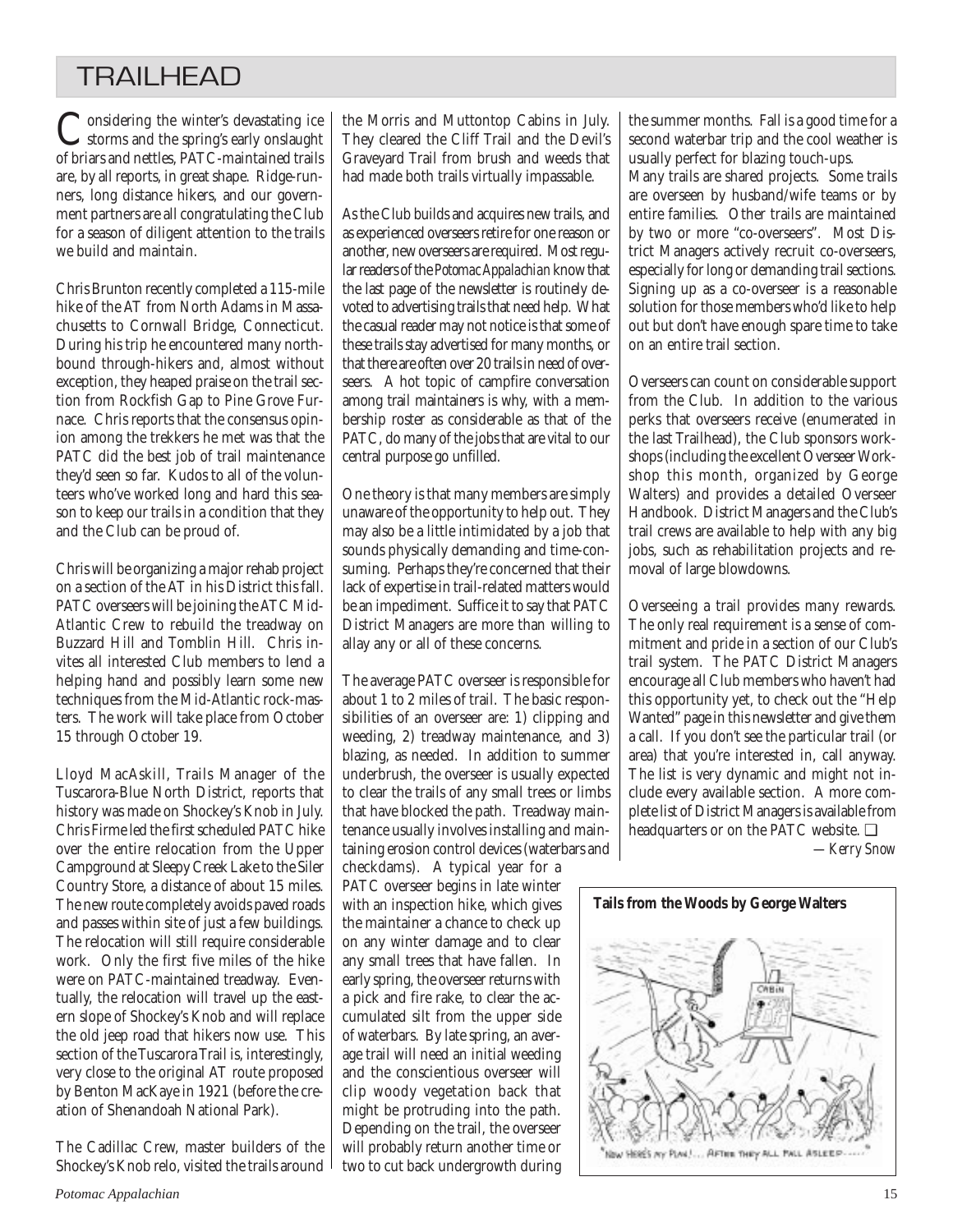## TRAILHEAD

Considering the winter's devastating ice<br>storms and the spring's early onslaught<br>of britan and nattles DATC mointained trails of briars and nettles, PATC-maintained trails are, by all reports, in great shape. Ridge-runners, long distance hikers, and our government partners are all congratulating the Club for a season of diligent attention to the trails we build and maintain.

Chris Brunton recently completed a 115-mile hike of the AT from North Adams in Massachusetts to Cornwall Bridge, Connecticut. During his trip he encountered many northbound through-hikers and, almost without exception, they heaped praise on the trail section from Rockfish Gap to Pine Grove Furnace. Chris reports that the consensus opinion among the trekkers he met was that the PATC did the best job of trail maintenance they'd seen so far. Kudos to all of the volunteers who've worked long and hard this season to keep our trails in a condition that they and the Club can be proud of.

Chris will be organizing a major rehab project on a section of the AT in his District this fall. PATC overseers will be joining the ATC Mid-Atlantic Crew to rebuild the treadway on Buzzard Hill and Tomblin Hill. Chris invites all interested Club members to lend a helping hand and possibly learn some new techniques from the Mid-Atlantic rock-masters. The work will take place from October 15 through October 19.

Lloyd MacAskill, Trails Manager of the Tuscarora-Blue North District, reports that history was made on Shockey's Knob in July. Chris Firme led the first scheduled PATC hike over the entire relocation from the Upper Campground at Sleepy Creek Lake to the Siler Country Store, a distance of about 15 miles. The new route completely avoids paved roads and passes within site of just a few buildings. The relocation will still require considerable work. Only the first five miles of the hike were on PATC-maintained treadway. Eventually, the relocation will travel up the eastern slope of Shockey's Knob and will replace the old jeep road that hikers now use. This section of the Tuscarora Trail is, interestingly, very close to the original AT route proposed by Benton MacKaye in 1921 (before the creation of Shenandoah National Park).

The Cadillac Crew, master builders of the Shockey's Knob relo, visited the trails around the Morris and Muttontop Cabins in July. They cleared the Cliff Trail and the Devil's Graveyard Trail from brush and weeds that had made both trails virtually impassable.

As the Club builds and acquires new trails, and as experienced overseers retire for one reason or another, new overseers are required. Most regular readers of the *Potomac Appalachian* know that the last page of the newsletter is routinely devoted to advertising trails that need help. What the casual reader may not notice is that some of these trails stay advertised for many months, or that there are often over 20 trails in need of overseers. A hot topic of campfire conversation among trail maintainers is why, with a membership roster as considerable as that of the PATC, do many of the jobs that are vital to our central purpose go unfilled.

One theory is that many members are simply unaware of the opportunity to help out. They may also be a little intimidated by a job that sounds physically demanding and time-consuming. Perhaps they're concerned that their lack of expertise in trail-related matters would be an impediment. Suffice it to say that PATC District Managers are more than willing to allay any or all of these concerns.

The average PATC overseer is responsible for about 1 to 2 miles of trail. The basic responsibilities of an overseer are: 1) clipping and weeding, 2) treadway maintenance, and 3) blazing, as needed. In addition to summer underbrush, the overseer is usually expected to clear the trails of any small trees or limbs that have blocked the path. Treadway maintenance usually involves installing and maintaining erosion control devices (waterbars and

checkdams). A typical year for a PATC overseer begins in late winter with an inspection hike, which gives the maintainer a chance to check up on any winter damage and to clear any small trees that have fallen. In early spring, the overseer returns with a pick and fire rake, to clear the accumulated silt from the upper side of waterbars. By late spring, an average trail will need an initial weeding and the conscientious overseer will clip woody vegetation back that might be protruding into the path. Depending on the trail, the overseer will probably return another time or two to cut back undergrowth during the summer months. Fall is a good time for a second waterbar trip and the cool weather is usually perfect for blazing touch-ups.

Many trails are shared projects. Some trails are overseen by husband/wife teams or by entire families. Other trails are maintained by two or more "co-overseers". Most District Managers actively recruit co-overseers, especially for long or demanding trail sections. Signing up as a co-overseer is a reasonable solution for those members who'd like to help out but don't have enough spare time to take on an entire trail section.

Overseers can count on considerable support from the Club. In addition to the various perks that overseers receive (enumerated in the last Trailhead), the Club sponsors workshops (including the excellent Overseer Workshop this month, organized by George Walters) and provides a detailed Overseer Handbook. District Managers and the Club's trail crews are available to help with any big jobs, such as rehabilitation projects and removal of large blowdowns.

Overseeing a trail provides many rewards. The only real requirement is a sense of commitment and pride in a section of our Club's trail system. The PATC District Managers encourage all Club members who haven't had this opportunity yet, to check out the "Help Wanted" page in this newsletter and give them a call. If you don't see the particular trail (or area) that you're interested in, call anyway. The list is very dynamic and might not include every available section. A more complete list of District Managers is available from headquarters or on the PATC website. ❑ *—Kerry Snow*